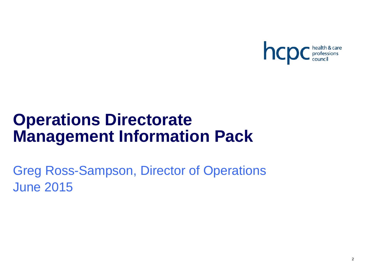

# **Operations Directorate Management Information Pack**

Greg Ross-Sampson, Director of Operations June 2015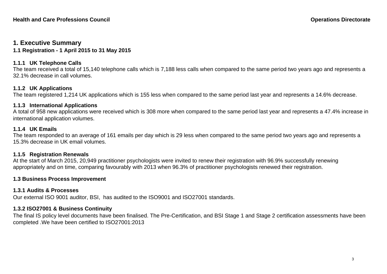# **1. Executive Summary**

**1.1 Registration - 1 April 2015 to 31 May 2015** 

# **1.1.1 UK Telephone Calls**

The team received a total of 15,140 telephone calls which is 7,188 less calls when compared to the same period two years ago and represents a 32.1% decrease in call volumes.

# **1.1.2 UK Applications**

The team registered 1,214 UK applications which is 155 less when compared to the same period last year and represents a 14.6% decrease.

# **1.1.3 International Applications**

A total of 958 new applications were received which is 308 more when compared to the same period last year and represents a 47.4% increase in international application volumes.

# **1.1.4 UK Emails**

The team responded to an average of 161 emails per day which is 29 less when compared to the same period two years ago and represents a 15.3% decrease in UK email volumes.

# **1.1.5 Registration Renewals**

At the start of March 2015, 20,949 practitioner psychologists were invited to renew their registration with 96.9% successfully renewing appropriately and on time, comparing favourably with 2013 when 96.3% of practitioner psychologists renewed their registration.

# **1.3 Business Process Improvement**

# **1.3.1 Audits & Processes**

Our external ISO 9001 auditor, BSI, has audited to the ISO9001 and ISO27001 standards.

# **1.3.2 ISO27001 & Business Continuity**

The final IS policy level documents have been finalised. The Pre-Certification, and BSI Stage 1 and Stage 2 certification assessments have been completed .We have been certified to ISO27001:2013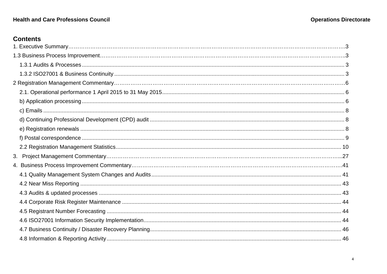# **Health and Care Professions Council**

# **Contents**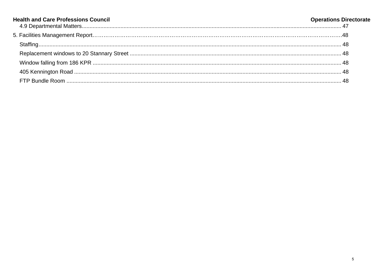| <b>Health and Care Professions Council</b> | <b>Operations Directorate</b> |
|--------------------------------------------|-------------------------------|
|                                            |                               |
|                                            |                               |
|                                            |                               |
|                                            |                               |
|                                            |                               |
|                                            |                               |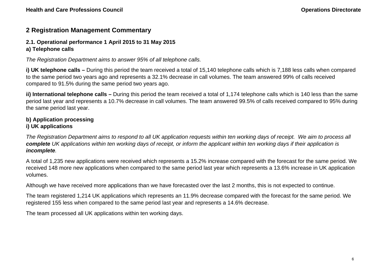# **2 Registration Management Commentary**

# **2.1. Operational performance 1 April 2015 to 31 May 2015**

# **a) Telephone calls**

*The Registration Department aims to answer 95% of all telephone calls.*

**i) UK telephone calls –** During this period the team received a total of 15,140 telephone calls which is 7,188 less calls when compared to the same period two years ago and represents a 32.1% decrease in call volumes. The team answered 99% of calls received compared to 91.5% during the same period two years ago.

**ii) International telephone calls –** During this period the team received a total of 1,174 telephone calls which is 140 less than the same period last year and represents a 10.7% decrease in call volumes. The team answered 99.5% of calls received compared to 95% during the same period last year.

# **b) Application processing i) UK applications**

*The Registration Department aims to respond to all UK application requests within ten working days of receipt. We aim to process all complete UK applications within ten working days of receipt, or inform the applicant within ten working days if their application is incomplete.*

A total of 1,235 new applications were received which represents a 15.2% increase compared with the forecast for the same period. We received 148 more new applications when compared to the same period last year which represents a 13.6% increase in UK application volumes.

Although we have received more applications than we have forecasted over the last 2 months, this is not expected to continue.

The team registered 1,214 UK applications which represents an 11.9% decrease compared with the forecast for the same period. We registered 155 less when compared to the same period last year and represents a 14.6% decrease.

The team processed all UK applications within ten working days.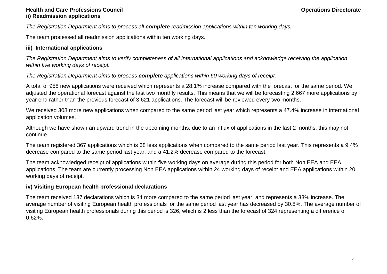# **Health and Care Professions Council Care and Care Professions Council Care and Care in the Council Care and Care in the Council Care in the Council Care in the Council Care in the Council Care in the Council Care in the C ii) Readmission applications**

*The Registration Department aims to process all complete readmission applications within ten working days.*

The team processed all readmission applications within ten working days.

# **iii) International applications**

*The Registration Department aims to verify completeness of all International applications and acknowledge receiving the application within five working days of receipt.* 

*The Registration Department aims to process complete applications within 60 working days of receipt.* 

A total of 958 new applications were received which represents a 28.1% increase compared with the forecast for the same period. We adjusted the operational forecast against the last two monthly results. This means that we will be forecasting 2,667 more applications by year end rather than the previous forecast of 3,621 applications. The forecast will be reviewed every two months.

We received 308 more new applications when compared to the same period last year which represents a 47.4% increase in international application volumes.

Although we have shown an upward trend in the upcoming months, due to an influx of applications in the last 2 months, this may not continue.

The team registered 367 applications which is 38 less applications when compared to the same period last year. This represents a 9.4% decrease compared to the same period last year, and a 41.2% decrease compared to the forecast.

The team acknowledged receipt of applications within five working days on average during this period for both Non EEA and EEA applications. The team are currently processing Non EEA applications within 24 working days of receipt and EEA applications within 20 working days of receipt.

# **iv) Visiting European health professional declarations**

The team received 137 declarations which is 34 more compared to the same period last year, and represents a 33% increase. The average number of visiting European health professionals for the same period last year has decreased by 30.8%. The average number of visiting European health professionals during this period is 326, which is 2 less than the forecast of 324 representing a difference of 0.62%.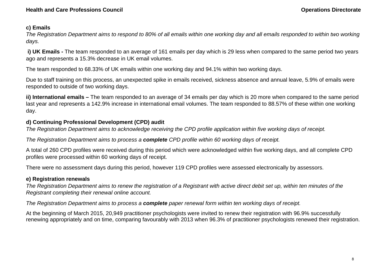# **c) Emails**

*The Registration Department aims to respond to 80% of all emails within one working day and all emails responded to within two working days.* 

 **i) UK Emails -** The team responded to an average of 161 emails per day which is 29 less when compared to the same period two years ago and represents a 15.3% decrease in UK email volumes.

The team responded to 68.33% of UK emails within one working day and 94.1% within two working days.

Due to staff training on this process, an unexpected spike in emails received, sickness absence and annual leave, 5.9% of emails were responded to outside of two working days.

**ii) International emails –** The team responded to an average of 34 emails per day which is 20 more when compared to the same period last year and represents a 142.9% increase in international email volumes. The team responded to 88.57% of these within one working day.

# **d) Continuing Professional Development (CPD) audit**

*The Registration Department aims to acknowledge receiving the CPD profile application within five working days of receipt.* 

*The Registration Department aims to process a complete CPD profile within 60 working days of receipt.* 

A total of 260 CPD profiles were received during this period which were acknowledged within five working days, and all complete CPD profiles were processed within 60 working days of receipt.

There were no assessment days during this period, however 119 CPD profiles were assessed electronically by assessors.

# **e) Registration renewals**

*The Registration Department aims to renew the registration of a Registrant with active direct debit set up, within ten minutes of the Registrant completing their renewal online account.* 

*The Registration Department aims to process a complete paper renewal form within ten working days of receipt.* 

At the beginning of March 2015, 20,949 practitioner psychologists were invited to renew their registration with 96.9% successfully renewing appropriately and on time, comparing favourably with 2013 when 96.3% of practitioner psychologists renewed their registration.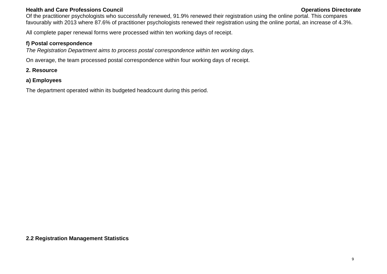# **Health and Care Professions Council Care and Care Professions Council Care and Care Accouncil Care and Care and Care Professions Council Care and Care and Care and Care and Care and Care and Care and Care and Care and Car**

Of the practitioner psychologists who successfully renewed, 91.9% renewed their registration using the online portal. This compares favourably with 2013 where 87.6% of practitioner psychologists renewed their registration using the online portal, an increase of 4.3%.

All complete paper renewal forms were processed within ten working days of receipt.

# **f) Postal correspondence**

*The Registration Department aims to process postal correspondence within ten working days.* 

On average, the team processed postal correspondence within four working days of receipt.

# **2. Resource**

**a) Employees**

The department operated within its budgeted headcount during this period.

**2.2 Registration Management Statistics**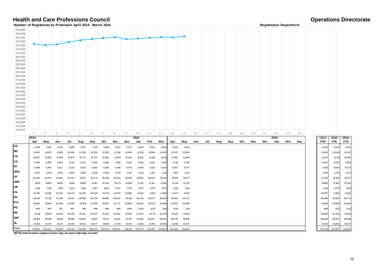# **Health and Care Professions Council**<br> **Number of Registration Department**<br> **Number of Registration Department**

**Number of Registrants by Profession April 2014 - March 2016 Registration Department**

| 340,000<br>335,000<br>330,000<br>325,000<br>320,000<br>315,000<br>310,000<br>305,000<br>300,000<br>295,000<br>290,000<br>285,000<br>280,000<br>275,000<br>270,000<br>265,000<br>260,000<br>255,000<br>250,000<br>245,000<br>240,000<br>235,000<br>230,000<br>225,000<br>220,000<br>215,000 |                   |                   |                   |                   |                   |                   |                   |                   |                   |                   |                   |                   |                   |                   |     |     |     |     |     |     |            |      |     |     |                   |                   |                   |
|--------------------------------------------------------------------------------------------------------------------------------------------------------------------------------------------------------------------------------------------------------------------------------------------|-------------------|-------------------|-------------------|-------------------|-------------------|-------------------|-------------------|-------------------|-------------------|-------------------|-------------------|-------------------|-------------------|-------------------|-----|-----|-----|-----|-----|-----|------------|------|-----|-----|-------------------|-------------------|-------------------|
| 210,000                                                                                                                                                                                                                                                                                    | 1                 | $\overline{2}$    | 3                 | $\overline{4}$    | 5                 | 6                 | $7\overline{ }$   | 8                 | $\overline{9}$    | 10                | 11                | 12                | 13                | 14                | 15  | 16  | 17  | 18  | 19  | 20  | 21         | 22   | 23  | 24  |                   |                   |                   |
|                                                                                                                                                                                                                                                                                            | 2014              |                   |                   |                   |                   |                   |                   |                   |                   | 2015              |                   |                   |                   |                   |     |     |     |     |     |     |            | 2016 |     |     | 13/14             | 14/15             | 15/16             |
| AS                                                                                                                                                                                                                                                                                         | Apr               | May               | Jun               | Jul               | Aug               | Sep               | Oct               | Nov               | Dec               | Jan               | Feb               | Mar               | Apr               | May               | Jun | Jul | Aug | Sep | Oct | Nov | <b>Dec</b> | Jan  | Feb | Mar | <b>FYE</b>        | <b>FYE</b>        | <b>YTD</b>        |
| <b>BS</b>                                                                                                                                                                                                                                                                                  | 3,448             | 3,192             | 3,243             | 3,289             | 3,357             | 3,411             | 3,466             | 3,522             | 3,574             | 3,589             | 3,602             | 3,620             | 3,004             | 3,634             |     |     |     |     |     |     |            |      |     |     | 3,450             | 3,620             | 3,634             |
| CH                                                                                                                                                                                                                                                                                         | 21,926            | 21,929            | 21,983            | 22,096            | 22,208            | 22,250            | 22,282            | 22,314            | 22,499            | 22,551            | 22,608            | 22,640            | 22,647            | 22,624            |     |     |     |     |     |     |            |      |     |     | 21,904            | 22,640            | 22,624            |
| <b>CS</b>                                                                                                                                                                                                                                                                                  | 13,007            | 12,950            | 12,950            | 12,975            | 12,737            | 12,797            | 12,830            | 12,841            | 12,932            | 12,912            | 12,919            | 12,911            | 12,905            | 12,904            |     |     |     |     |     |     |            |      |     |     | 13,017            | 12,911            | 12,904            |
| DT                                                                                                                                                                                                                                                                                         | 4,959<br>8,368    | 4,988<br>8,355    | 5,002<br>8,327    | 5,014<br>8,233    | 5,047<br>8,325    | 5,045<br>8,355    | 5,086<br>8,396    | 5,169<br>8,416    | 5,234<br>8,476    | 5,260<br>8,494    | 5,262<br>8,512    | 5,296<br>8,528    | 5,318<br>8,557    | 5,336<br>8,575    |     |     |     |     |     |     |            |      |     |     | 4,942<br>8,381    | 5,296<br>8,528    | 5,336<br>8,575    |
| <b>HAD</b>                                                                                                                                                                                                                                                                                 | 2,020             | 2,021             | 2,026             | 2,028             | 2,002             | 2,039             | 2,060             | 2,079             | 2,107             | 2,125             | 2,133             | 2,151             | 2,165             | 2,174             |     |     |     |     |     |     |            |      |     |     | 2,010             | 2,151             | 2,174             |
| ОT                                                                                                                                                                                                                                                                                         | 34,203            | 34,253            | 34,364            | 34,753            | 35,137            | 35,273            | 35,438            | 35,628            | 35,902            | 35,963            | 36,043            | 36,128            | 36,138            | 36,177            |     |     |     |     |     |     |            |      |     |     | 34,154            | 36,128            | 36,177            |
| <b>ODP</b>                                                                                                                                                                                                                                                                                 | 11,911            | 11,896            | 11,900            | 11,918            | 11,984            | 12,162            | 12,260            | 12,271            | 12,098            | 12,135            | 12,147            | 12,182            | 12,214            | 12,205            |     |     |     |     |     |     |            |      |     |     | 11,880            | 12,182            | 12,205            |
| OR                                                                                                                                                                                                                                                                                         | 1,316             | 1,315             | 1,313             | 1,332             | 1,359             | 1,362             | 1,369             | 1,370             | 1,378             | 1,375             | 1,376             | 1,379             | 1,381             | 1,381             |     |     |     |     |     |     |            |      |     |     | 1,316             | 1,379             | 1,38              |
| PA                                                                                                                                                                                                                                                                                         | 20,130            | 20,156            | 20,226            | 20,279            | 20,349            | 20,625            | 20,761            | 20,878            | 20,986            | 21,014            | 21,101            | 21,185            | 21,271            | 21,313            |     |     |     |     |     |     |            |      |     |     | 20,097            | 21,185            | 21,313            |
| PH                                                                                                                                                                                                                                                                                         | 48,413            | 47,115            | 47,336            | 48,127            | 48,585            | 48,734            | 48,886            | 49,042            | 49,381            | 49,479            | 49,573            | 49,685            | 49,360            | 49,737            |     |     |     |     |     |     |            |      |     |     | 48,868            | 49,685            | 49,737            |
| PYL                                                                                                                                                                                                                                                                                        | 19,952            | 19,989            | 20,038            | 20,088            | 20,158            | 20,288            | 20,607            | 20,774            | 20,859            | 20,920            | 20,973            | 20,996            | 20,963            | 20,889            |     |     |     |     |     |     |            |      |     |     | 19,919            | 20,996            | 20,889            |
| PO                                                                                                                                                                                                                                                                                         | 949               | 950               | 972               | 987               | 996               | 998               | 998               | 999               | 1,008             | 1,009             | 1,012             | 1,011             | 1,012             | 1,011             |     |     |     |     |     |     |            |      |     |     | 948               | 1,011             | 1,011             |
| RA                                                                                                                                                                                                                                                                                         | 28,111            | 28,159            | 28,446            | 29,049            | 29,232            | 29,337            | 29,433            | 29,504            | 29,695            | 29,675            | 29,711            | 29,786            | 29,812            | 29,841            |     |     |     |     |     |     |            |      |     |     | 28,060            | 29,786            | 29,84'            |
| SW*                                                                                                                                                                                                                                                                                        | 89,100            | 88,981            | 89,161            | 89,881            | 90,803            | 91,001            | 91,217            | 91,234            | 87,132            | 87,655            | 88,037            | 88,397            | 88,726            | 88,818            |     |     |     |     |     |     |            |      |     |     | 88,946            | 88,397            | 88,818            |
| SL.                                                                                                                                                                                                                                                                                        |                   |                   |                   |                   |                   |                   |                   |                   |                   |                   |                   |                   |                   |                   |     |     |     |     |     |     |            |      |     |     |                   |                   |                   |
| Total                                                                                                                                                                                                                                                                                      | 14,150<br>321,963 | 14,173<br>320,422 | 14,217<br>321,504 | 14,392<br>324,441 | 14,534<br>326,813 | 14,577<br>328,254 | 14,691<br>329,780 | 14,781<br>330,822 | 14,871<br>328,132 | 14,914<br>329,070 | 14,951<br>329,960 | 14,992<br>330,887 | 15,016<br>330,489 | 15,027<br>331,646 |     |     |     |     |     |     |            |      |     |     | 14,129<br>322,021 | 14,992<br>330,887 | 15,027<br>331,646 |

**NOTE: Information captured last day of each calendar month**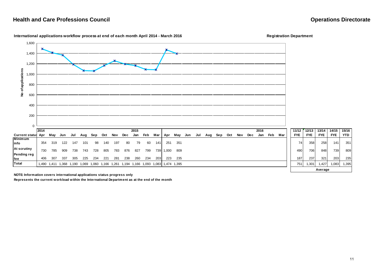$15/16$ 



### **International applications workflow process at end of each month April 2014 - March 2016 Registration Department**

**NOTE: Information covers international applications status progress only**

**Represents the current workload within the International Department as at the end of the month**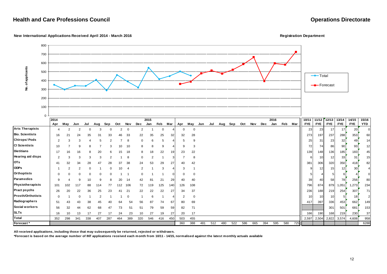### **New International Applications Received April 2014 - March 2016 Registration Department**



**All received applications, including those that may subsequently be returned, rejected or withdrawn.**

**\*Forecast is based on the average number of INT applications received each month from 10/11 - 14/15, normalised against the latest monthly actuals available**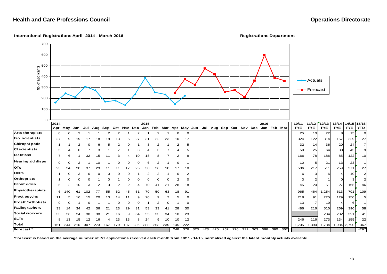### **International Registrations April 2014 - March 2016 Registrations Department**

**10/11 11/12 12/13 13/14 14/15 15/16** Apr May Jun Jul Aug Sep Oct Nov Dec Jan Feb Mar Apr May Jun Jul Aug Sep Oct Nov Dec Jan Feb Mar FYE FYE FYE FYE FYE FYE TD TD **Arts therapists** 0 0 2 1 1 2 2 1 2 1 2 1 0 0 25 10 22 8 15 0**Bio. scientists** 27 9 19 17 18 18 13 5 27 31 22 23 10 17 324 122 314 157 229 27**Chirops/ pods** 1 1 2 0 6 5 2 0 1 3 2 1 2 5 32 14 36 20 24 <sup>7</sup>**Cl scientists5** 1 5 4 0 7 3 1 7 1 3 4 3 7 4 5 50 50 25 64 30 45 9 **Dietitians5** 1 7 6 1 32 15 11 3 4 10 18 8 7 2 8 16 16 16 16 16 178 186 85 122 10 **Hearing aid disps** <sup>0</sup> <sup>0</sup> <sup>2</sup> <sup>1</sup> <sup>10</sup> <sup>1</sup> <sup>0</sup> <sup>0</sup> <sup>0</sup> <sup>6</sup> <sup>2</sup> <sup>1</sup> <sup>0</sup> <sup>1</sup> <sup>10</sup> <sup>5</sup> <sup>21</sup> <sup>13</sup> <sup>23</sup> <sup>1</sup>**OTs** 23 24 20 37 29 11 11 17 25 30 26 18 17 10 506 217 511 259 271 27**ODPs** 1 0 3 0 0 0 0 0 1 2 2 1 0 2 6 3 6 4 10 2**Orthoptists** | 1 0 0 0 1 1 0 1 0 0 0 0 0 1 2 0 2 0 2 2 2 1 1 2 3 2 1 0 3 2 **Paramedics** 5 2 10 3 2 3 2 2 4 70 41 21 28 18 45 20 51 27 165 46**Physiotherapists** <sup>6</sup> <sup>140</sup> <sup>61</sup> <sup>102</sup> <sup>77</sup> <sup>55</sup> <sup>62</sup> <sup>45</sup> <sup>51</sup> <sup>70</sup> <sup>59</sup> <sup>63</sup> <sup>18</sup> <sup>91</sup> <sup>965</sup> <sup>464</sup> 1,254 <sup>613</sup> <sup>791</sup> <sup>109</sup> **Pract psychs** 11 5 16 15 20 13 14 11 9 20 9 7 5 0 218 91 225 129 150 5**Prosth/orthotists** 0 0 1 0 1 1 0 0 0 1 2 0 1 0 13 7 10 4 6 1**Radiographers** 33 14 34 42 36 21 23 29 31 53 33 41 28 30 486 216 510 269 390 58**Social workers** 33 26 24 38 38 21 16 9 64 55 33 34 18 23 284 232 391 41 **SLTs** 8 13 15 12 16 4 23 13 8 24 9 10 10 12 246 116 273 134 155 22**Total** 161 244 210 307 273 167 179 137 236 388 253 235 145 222 $2$  1,705 1,390 1,784 1,984 2,790 367 **Forecast \*** 248 376 323 473 420 257 276 211 363 598 390 362 4297 **2014 2015 2016**0 100200 300 400 500 600700 $\frac{1}{2}$ <br>  $\frac{1}{2}$ <br>  $\frac{1}{2}$ <br>  $\frac{1}{2}$ <br>  $\frac{1}{2}$ <br>  $\frac{1}{2}$ <br>  $\frac{1}{2}$ <br>  $\frac{1}{2}$ <br>  $\frac{1}{2}$ <br>  $\frac{1}{2}$ <br>  $\frac{1}{2}$ <br>  $\frac{1}{2}$ <br>  $\frac{1}{2}$ <br>  $\frac{1}{2}$ <br>  $\frac{1}{2}$ <br>  $\frac{1}{2}$ <br>  $\frac{1}{2}$ <br>  $\frac{1}{2}$ <br>  $\frac{1}{2}$ <br>  $\frac{1}{2}$ <br> **B**-Forecast

**\*Forecast is based on the average number of INT applications received each month from 10/11 - 14/15, normalised against the latest monthly actuals available**

 $|9|$ 

 $10$ 

27

 $\vert$  2

 $\vert$  2

46

58

 $22$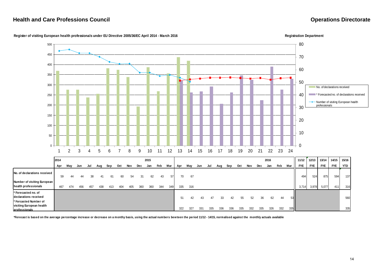

### **Register of visiting European health professionals under EU Directive 2005/36/EC April 2014 - March 2016 Registration Department**

**\*Forecast is based on the average percentage increase or decrease on a monthy basis, using the actual numbers bew teen the period 11/12 - 14/15, normalised against the monthly actuals available**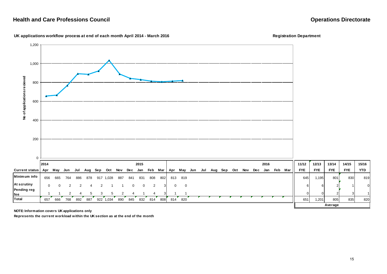### UK applications workflow process at end of each month April 2014 - March 2016 *Registration* Registration Department



657 666 768 892 887 922 1,034 890 845 832 814 808 814 820 #N/A #N/A #N/A #N/A #N/A #N/A #N/A #N/A #N/A #N/A 651 1,201 805 835 820

**NOTE: Information covers UK applications only**

**Total**

**Represents the current workload within the UK section as at the end of the month**

**Average**

15/16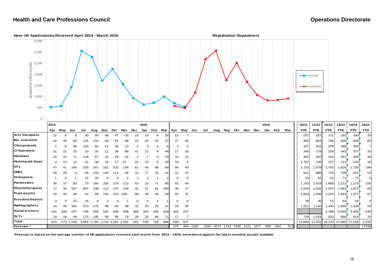

|                          | 2014 |          |           |                               |     |     |     |     |     | 2015     |     |     |          |             |          |      |     |           |      |      |      | 2016 |     |     | 10/11      | 11/12         | 12/13      | 13/14                | 14/15      | 15/16      |
|--------------------------|------|----------|-----------|-------------------------------|-----|-----|-----|-----|-----|----------|-----|-----|----------|-------------|----------|------|-----|-----------|------|------|------|------|-----|-----|------------|---------------|------------|----------------------|------------|------------|
|                          | Apr  | May      | Jun       | Jul                           | Aug | Sep | Oct | Nov | Dec | Jan      | Feb | Mar | Apr      | May         | Jun      | Jul  | Aug | Sep       | Oct  | Nov  | Dec  | Jan  | Feb | Mar | <b>FYE</b> | <b>FYE</b>    | <b>FYE</b> | <b>FYE</b>           | <b>FYE</b> | <b>YTD</b> |
| <b>Arts therapists</b>   | 20   |          |           | 30                            | 69  | 48  | 47  | 55  | 15  | 14       | 8   |     | 12       |             |          |      |     |           |      |      |      |      |     |     | 257        | 257           | 271        | 293                  | 340        | 19         |
| <b>Bio.</b> scientists   | 44   | 48       | 60        | 125                           | 134 | 64  | 91  | 88  | 42  | 40       | 55  | 57  | 37       | 46          |          |      |     |           |      |      |      |      |     |     | 894        | 804           | 746        | 839                  | 848        | 83         |
| <b>Chirops/pods</b>      | 2    | 6        | 96        | 120                           | 64  | 4.  | 33  | 13  |     | 3        |     |     |          | -4          |          |      |     |           |      |      |      |      |     |     | 427        | 362           | 376        | 389                  | 393        | 7'         |
| <b>CI Scientists</b>     | 31   | 21       | 23        | 10                            | 35  |     | 39  | 88  |     | 2.       | 8   | 49  | 17       | 16          |          |      |     |           |      |      |      |      |     |     | 240        | 279           | 224        | 343                  | 377        | 33         |
| <b>Dietitians</b>        | 20   | 15       | 71        | 118                           | 67  | 24  | 29  | 16  |     |          | 9   | 20  | 33       | 13          |          |      |     |           |      |      |      |      |     |     | 453        | 402           | 444        | 457                  | 400        | 46         |
| Hearing aid disps        |      | 14       | 12        | 31                            |     | 26  |     | 23  | 22  | 13       | 6   |     | 10       | 6           |          |      |     |           |      |      |      |      |     |     | 1,787      | 146           | 227        | 211                  | 234        | 16         |
| <b>OTs</b>               | 47   |          | 164       | 329                           | 347 | 161 | 232 | 154 |     |          | 68  | 89  | 66       | 40          |          |      |     |           |      |      |      |      |     |     | 1,720      | ,578          | 1,742      | 1,816                | ,733       | 106        |
| <b>ODPs</b>              | 30   | 29       |           | 36                            | 155 | 145 |     | 34  | 32  |          | 16  | 31  | 31       | 22          |          |      |     |           |      |      |      |      |     |     | 622        | 686           | 715        | 706                  | 641        | 53         |
| <b>Orthoptists</b>       |      |          |           | 21                            | 26  |     |     |     | 3   | 2        |     |     | 0        | $\mathbf 0$ |          |      |     |           |      |      |      |      |     |     | 53         | 42            | 61         | 71                   | 72         |            |
| Paramedics               | 38   | 37       | 83        | 70                            | 160 | 250 | 70  |     | 63  | 23       |     | 95  | 65       | 40          |          |      |     |           |      |      |      |      |     |     | 1,163      | 1,519         | 1,668      | 1,221                | 1,173      | 105        |
| Physiotherapists         | 17   | 30       | 197       | 697                           | 336 | 113 | 37  | 104 | 42  |          | 61  | 100 | 36       | 27          |          |      |     |           |      |      |      |      |     |     | 2,026      | 826,          | 1,937      | 1,992                | .875       | 63         |
| <b>Pract psychs</b>      | 33   | 49       | 40        | 42                            | 66  | 135 | 323 | 158 | 68  | 45       | 49  | 69  | 50       | 37          |          |      |     |           |      |      |      |      |     |     | 2,043      | .258          | 1,202      | 1,083                | 1,077      | 87         |
| <b>Prosth/orthotists</b> | 3    | $\Omega$ | 22        | 16                            |     |     |     |     |     | $\Omega$ |     |     | $\Omega$ | $\mathbf 0$ |          |      |     |           |      |      |      |      |     |     | 39         | 35            | 51         | 64                   | 55         | $\Omega$   |
| Radiographers            | 19   | 49       | 341       | 513                           | 175 | 96  | 94  | 38  | 32  | 20       | 20  | 41  | 18       | 35          |          |      |     |           |      |      |      |      |     |     | 1,221      | 1.140         | 1,343      | 1,406                | 1,438      | 53         |
| Social workers           | 191  | 208      | 247       | 736                           | 949 | 531 | 826 | 596 | 466 | 320      | 295 | 330 | 303      | 237         |          |      |     |           |      |      |      |      |     |     |            |               | 4,395      | 6,099                | 5,695      | 540        |
| <b>SLTs</b>              | 14   | 18       | 49        | 175                           | 145 | 60  | 95  | 79  | 29  | 33       | 46  | 71  | 17       |             |          |      |     |           |      |      |      |      |     |     | 739        | 1,019         | 831        | 696                  | 814        | 24         |
| Total                    | 514  |          | 573 1,418 | 3,069 2,784 1,716 2,251 1,562 |     |     |     |     | 925 | 639      | 718 | 996 | 698      | 537         |          |      |     |           |      |      |      |      |     |     |            | 13,684 11,353 |            | 16,233 17,686 17,165 |            | 1,235      |
| Forecast*                |      |          |           |                               |     |     |     |     |     |          |     |     | 578      |             | 494 1181 | 2696 |     | 3074 1743 | 2530 | 1671 | 1077 | 830  | 854 | 912 |            |               |            |                      |            | 17639      |

**\*Forecast is based on the average number of UK applications received each month from 10/11 - 14/15, normalised against the latest monthly actuals available**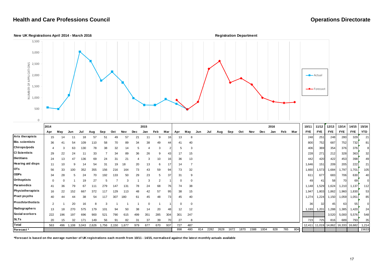

|                          | 2014           |     |       |       |       |       |       |       |             | 2015     |                |     |     |          |     |      |      |      |      |      |            | 2016 |     |     | 10/11          | 11/12      | 12/13                              | 13/14      | 14/15      | 15/16          |
|--------------------------|----------------|-----|-------|-------|-------|-------|-------|-------|-------------|----------|----------------|-----|-----|----------|-----|------|------|------|------|------|------------|------|-----|-----|----------------|------------|------------------------------------|------------|------------|----------------|
|                          | Apr            | May | Jun   | Jul   | Aug   | Sep   | Oct   | Nov   | Dec         | Jan      | Feb            | Mar | Apr | May      | Jun | Jul  | Aug  | Sep  | Oct  | Nov  | <b>Dec</b> | Jan  | Feb | Mar | <b>FYE</b>     | <b>FYE</b> | <b>FYE</b>                         | <b>FYE</b> | <b>FYE</b> | <b>YTD</b>     |
| Arts therapists          | 15             | 14  |       |       | 5     |       |       | 57    | $2^{\cdot}$ |          | 9              | 16  | 13  |          |     |      |      |      |      |      |            |      |     |     | 248            | 251        | 248                                | 280        | 329        | 21             |
| <b>Bio.</b> scientists   | 36             | 4   | 54    | 109   | 110   | 58    | 70    | 89    | 34          | 38       | 49             | 44  | 41  | 40       |     |      |      |      |      |      |            |      |     |     | 800            | 752        | 687                                | 752        | 732        | 81             |
| <b>Chirops/pods</b>      |                |     | 63    | 130   | 78    | 38    | 32    | 14    |             |          | 3              |     |     | 3        |     |      |      |      |      |      |            |      |     |     | 406            | 369        | 354                                | 376        | 376        | 8              |
| <b>CI Scientists</b>     | 29             | 22  | 24    |       | 33    |       | 34    | 89    | 36          | 26       | 9              | 43  | 17  | 15       |     |      |      |      |      |      |            |      |     |     | 228            | 271        | 212                                | 328        | 363        | 32             |
| <b>Dietitians</b>        | 24             | 13  | 47    | 136   | 69    | 24    | 31    | 21    |             | 3        | 10             | 16  | 36  | 13       |     |      |      |      |      |      |            |      |     |     | 442            | 420        | 422                                | 453        | 398        | 49             |
| <b>Hearing aid disps</b> | 11             |     | 9     | 14    | 54    | 31    | 19    | 18    | 20          | 13       | 6              |     | 14  |          |     |      |      |      |      |      |            |      |     |     | 1,646          | 151        | 209                                | 205        | 222        | 21             |
| <b>OTs</b>               | 56             |     | 100   | 352   | 355   | 156   | 216   | 164   | 73          | 43       | 59             | 94  | 73  | 32       |     |      |      |      |      |      |            |      |     |     | 1,660          | 1,573      | 1,684                              | 1,797      | 1,701      | 105            |
| <b>ODPs</b>              | 34             | 28  |       | 24    | 70    | 192   | 33    | 50    | 29          | 23       |                | 37  | 31  |          |     |      |      |      |      |      |            |      |     |     | 61             | 677        | 683                                | 706        | 630        | 40             |
| <b>Orthoptists</b>       |                |     |       | 19    | 27    |       |       | 3     |             | 3        | $\overline{2}$ |     |     | $\Omega$ |     |      |      |      |      |      |            |      |     |     | $\overline{4}$ | 41         | 58                                 | 70         | 69         | $\overline{0}$ |
| Paramedics               | 41             | 36  | 79    | 67    | 111   | 279   | 147   | 131   | 78          | 24       | 68             | 76  | 74  | 38       |     |      |      |      |      |      |            |      |     |     | 1,148          | 1,529      | 1,624                              | 1,210      | 1,137      | 112            |
| Physiotherapists         | 16             | 22  | 152   | 667   | 372   |       | 129   | 113   | 48          | 42       | 57             | 95  | 38  | 15       |     |      |      |      |      |      |            |      |     |     | 1,947          | 1,803      | 1,862                              | 1,960      | 1,830      | 53             |
| <b>Pract psychs</b>      | 40             | 44  | 44    | 38    | 54    | 117   | 307   | 180   | 61          | 45       | 48             | 73  | 45  | 40       |     |      |      |      |      |      |            |      |     |     | 1,274          | 1,224      | 1,150                              | 1,059      | 1,051      | 85             |
| <b>Prosth/orthotists</b> | $\overline{2}$ |     | 20    | 16    |       |       |       |       |             | $\Omega$ |                |     |     | $\Omega$ |     |      |      |      |      |      |            |      |     |     | 36             | 32         | 45                                 | 63         | 55         | $\overline{0}$ |
| Radiographers            | 13             | 18  | 270   | 575   | 179   | 101   | 94    | 50    | 38          | 14       | 20             | -48 | 12  | 12       |     |      |      |      |      |      |            |      |     |     | 1,193          | 1,201      | 1,288                              | 1,385      | 1,420      | 24             |
| Social workers           | 222            | 196 | 197   | 696   | 900   | 521   | 790   | 615   | 499         | 351      | 285            | 304 | 301 | 247      |     |      |      |      |      |      |            |      |     |     |                |            | 3,520                              | 5,000      | 5,576      | 548            |
| <b>SLTs</b>              | 20             | 15  | 32    | 171   | 149   | 56    | 91    | 82    | 31          | 37       | 39             | 70  | 27  | 8        |     |      |      |      |      |      |            |      |     |     | 723            | 725        | 816                                | 689        | 793        | 35             |
| <b>Total</b>             | 563            | 496 | 1,108 | 3,043 | 2,626 | 1,756 | 2,150 | 1,677 | 979         | 677      | 670            | 937 | 727 | 487      |     |      |      |      |      |      |            |      |     |     |                |            | 12,411 11,019 14,862 16,333 16,682 |            |            | 1,214          |
| Forecast*                |                |     |       |       |       |       |       |       |             |          |                |     | 898 | 480      | 814 | 2282 | 2628 | 1672 | 1870 | 1588 | 1004       | 828  | 765 | 804 |                |            |                                    |            |            | 15633          |

**\*Forecast is based on the average number of UK registrations each month from 10/11 - 14/15, normalised against the latest monthly actuals available**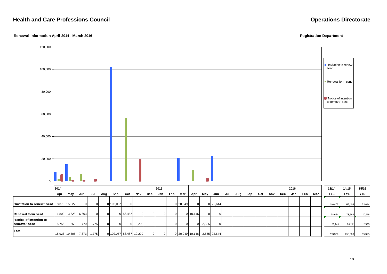### **Renewal Information April 2014 - March 2016 Registration Department**

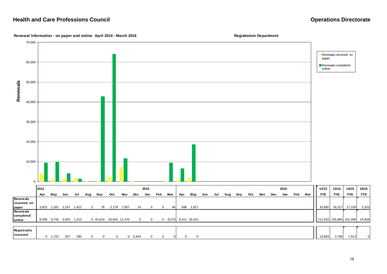

### **Renewal Information - on paper and online April 2014 - March 2016 Registration Department**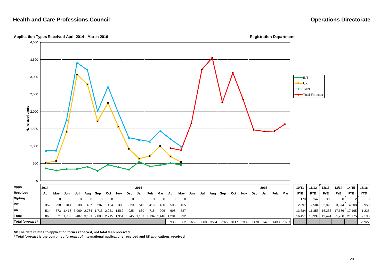### **Application Types Received April 2014 - March 2016 Registration Department**



**NB The data relates to application forms received, not total fees received.**

**\* Total forecast is the combined forecast of international applications received and UK applications received**

15/16

23927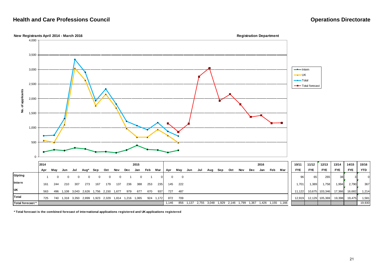**Total forecast \***



| * Total forecast is the combined forecast of international applications registered and UK applications registered |  |
|-------------------------------------------------------------------------------------------------------------------|--|
|                                                                                                                   |  |

21

1,146 856 1,137 2,755 3,048 1,929 2,146 1,799 1,367 1,426 1,155 1,166 19,930

15/16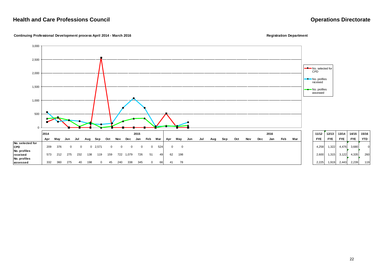**Continuing Professional Development process April 2014 - March 2016 Registration Department** Registration Department

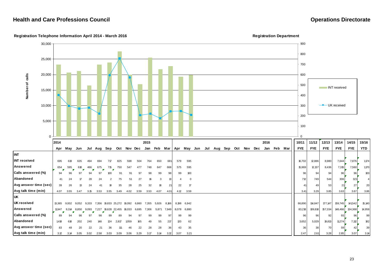**Registration Telephone Information April 2014 - March 2016 Registration Department**

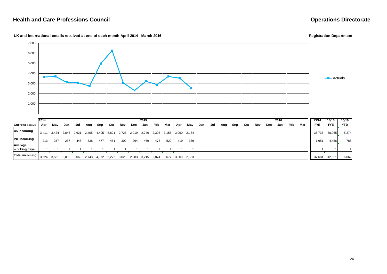### **UK and international emails received at end of each month April 2014 - March 2016 Registration Department**



**working days** 1 1 1 1 1 1 1 1 1 1 1 1 1 1 <sup>11</sup> <sup>1</sup> **Total incoming**  $\begin{bmatrix} 3,624 & 3,681 & 3,083 & 3,069 & 2,743 & 4,972 & 6,272 & 3,028 & 2,283 & 3,215 & 2,874 & 3,677 & 3,509 & 2,553 \end{bmatrix}$  3,509 2,7684 **37,684 42,521 6,062** 

24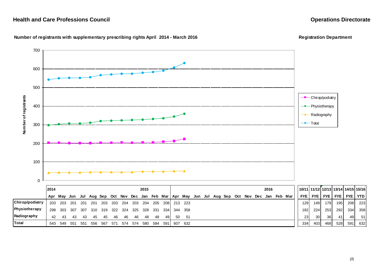

### Number of registrants with supplementary prescribing rights April 2014 - March 2016<br> **Registration Department**

|                      | 2014 |         |         |      |       |     |       |             |     | 2015 |      |       |             |             |  |  |  | 2016 |                                                                                                   |     | 10/11   11/12   12/13   13/14   14/15   15/16 |              |                |              |          |
|----------------------|------|---------|---------|------|-------|-----|-------|-------------|-----|------|------|-------|-------------|-------------|--|--|--|------|---------------------------------------------------------------------------------------------------|-----|-----------------------------------------------|--------------|----------------|--------------|----------|
|                      |      |         |         |      |       |     |       |             |     |      |      |       |             |             |  |  |  |      | Apr May Jun Jul Aug Sep Oct Nov Dec Jan Feb Mar   Apr May Jun Jul Aug Sep Oct Nov Dec Jan Feb Mar |     | <b>FYE I FYE I</b>                            |              | <b>FYE FYE</b> |              | FYE TYTD |
| Chirop/podiatry      | 203  | 203 201 |         | -201 | - 201 |     |       | 203 203 204 | 203 | 204  | 205  |       | 208 213 223 |             |  |  |  |      |                                                                                                   | 129 | 149                                           | 179 I        | 195            |              | 208 223  |
| <b>Physiotherapy</b> | 298  |         | 303 307 | 307  | 310   | 319 |       | 322 324     | 325 | 328  | -331 |       |             | 334 344 358 |  |  |  |      |                                                                                                   | 182 | 224                                           | 253 <b>J</b> | 292            | 334 <b>J</b> | 358      |
| Radiography          | 42   | 43      | 43      | 43   | 45    | 45  | -46   | -46         | -46 | -48  | -48  | 491   | 50          | -51         |  |  |  |      |                                                                                                   | 23  | 30 l                                          | 36 I         | 41             | 49           | 51       |
| <b>Total</b>         | 543  | 549 551 |         | -551 | 556   | 567 | - 571 | 574         | 574 | 580  | 584  | -5911 |             | 607 632     |  |  |  |      |                                                                                                   | 334 | 403                                           | 468          | 528            | 591          | 632      |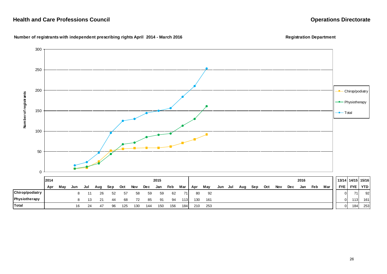

### Number of registrants with independent prescribing rights April 2014 - March 2016<br> **Registration Department**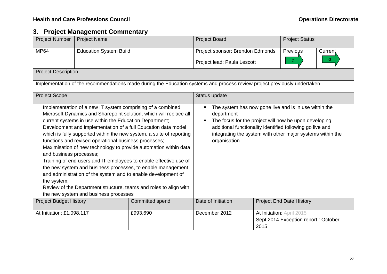# **3. Project Management Commentary**

| <b>Project Number</b>                  | <b>Project Name</b>                                                                                                                                                                                                     |                                                                                                                                                                                                                                                                                                                                                                                                                                                                                                                                                           | <b>Project Board</b>                                                                                                                                                                                                                                                    |      | <b>Project Status</b>                                            |         |
|----------------------------------------|-------------------------------------------------------------------------------------------------------------------------------------------------------------------------------------------------------------------------|-----------------------------------------------------------------------------------------------------------------------------------------------------------------------------------------------------------------------------------------------------------------------------------------------------------------------------------------------------------------------------------------------------------------------------------------------------------------------------------------------------------------------------------------------------------|-------------------------------------------------------------------------------------------------------------------------------------------------------------------------------------------------------------------------------------------------------------------------|------|------------------------------------------------------------------|---------|
| <b>MP64</b>                            | <b>Education System Build</b>                                                                                                                                                                                           |                                                                                                                                                                                                                                                                                                                                                                                                                                                                                                                                                           | Project sponsor: Brendon Edmonds                                                                                                                                                                                                                                        |      | Previous                                                         | Current |
|                                        |                                                                                                                                                                                                                         |                                                                                                                                                                                                                                                                                                                                                                                                                                                                                                                                                           | Project lead: Paula Lescott                                                                                                                                                                                                                                             |      | $\mathbb{G}$                                                     | G       |
| <b>Project Description</b>             |                                                                                                                                                                                                                         |                                                                                                                                                                                                                                                                                                                                                                                                                                                                                                                                                           |                                                                                                                                                                                                                                                                         |      |                                                                  |         |
|                                        |                                                                                                                                                                                                                         | Implementation of the recommendations made during the Education systems and process review project previously undertaken                                                                                                                                                                                                                                                                                                                                                                                                                                  |                                                                                                                                                                                                                                                                         |      |                                                                  |         |
| <b>Project Scope</b>                   |                                                                                                                                                                                                                         |                                                                                                                                                                                                                                                                                                                                                                                                                                                                                                                                                           | Status update                                                                                                                                                                                                                                                           |      |                                                                  |         |
| and business processes;<br>the system; | Implementation of a new IT system comprising of a combined<br>current systems in use within the Education Department;<br>functions and revised operational business processes;<br>the new system and business processes | Microsoft Dynamics and Sharepoint solution, which will replace all<br>Development and implementation of a full Education data model<br>which is fully supported within the new system, a suite of reporting<br>Maximisation of new technology to provide automation within data<br>Training of end users and IT employees to enable effective use of<br>the new system and business processes, to enable management<br>and administration of the system and to enable development of<br>Review of the Department structure, teams and roles to align with | The system has now gone live and is in use within the<br>department<br>The focus for the project will now be upon developing<br>additional functionality identified following go live and<br>integrating the system with other major systems within the<br>organisation |      |                                                                  |         |
| <b>Project Budget History</b>          |                                                                                                                                                                                                                         | Committed spend                                                                                                                                                                                                                                                                                                                                                                                                                                                                                                                                           | Date of Initiation                                                                                                                                                                                                                                                      |      | <b>Project End Date History</b>                                  |         |
| At Initiation: £1,098,117              |                                                                                                                                                                                                                         | £993,690                                                                                                                                                                                                                                                                                                                                                                                                                                                                                                                                                  | December 2012                                                                                                                                                                                                                                                           | 2015 | At Initiation: April 2015<br>Sept 2014 Exception report: October |         |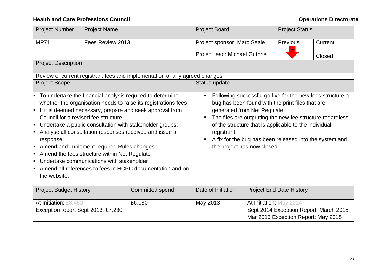| <b>Project Number</b>                                           | <b>Project Name</b>                                                                                                                      |                                                                                                                                                                                                                                                                                                                                                                              | <b>Project Board</b>                            |                                                             | <b>Project Status</b>                                                                                                                                                                                                                                                                          |         |
|-----------------------------------------------------------------|------------------------------------------------------------------------------------------------------------------------------------------|------------------------------------------------------------------------------------------------------------------------------------------------------------------------------------------------------------------------------------------------------------------------------------------------------------------------------------------------------------------------------|-------------------------------------------------|-------------------------------------------------------------|------------------------------------------------------------------------------------------------------------------------------------------------------------------------------------------------------------------------------------------------------------------------------------------------|---------|
| <b>MP71</b>                                                     | Fees Review 2013                                                                                                                         |                                                                                                                                                                                                                                                                                                                                                                              | Project sponsor: Marc Seale                     |                                                             | <b>Previous</b>                                                                                                                                                                                                                                                                                | Current |
|                                                                 |                                                                                                                                          |                                                                                                                                                                                                                                                                                                                                                                              | Project lead: Michael Guthrie                   |                                                             |                                                                                                                                                                                                                                                                                                | Closed  |
| <b>Project Description</b>                                      |                                                                                                                                          |                                                                                                                                                                                                                                                                                                                                                                              |                                                 |                                                             |                                                                                                                                                                                                                                                                                                |         |
|                                                                 |                                                                                                                                          | Review of current registrant fees and implementation of any agreed changes.                                                                                                                                                                                                                                                                                                  |                                                 |                                                             |                                                                                                                                                                                                                                                                                                |         |
| <b>Project Scope</b>                                            |                                                                                                                                          |                                                                                                                                                                                                                                                                                                                                                                              | Status update                                   |                                                             |                                                                                                                                                                                                                                                                                                |         |
| Council for a revised fee structure<br>response<br>the website. | Amend and implement required Rules changes.<br>Amend the fees structure within Net Regulate<br>Undertake communications with stakeholder | To undertake the financial analysis required to determine<br>whether the organisation needs to raise its registrations fees<br>If it is deemed necessary, prepare and seek approval from<br>Undertake a public consultation with stakeholder groups.<br>Analyse all consultation responses received and issue a<br>Amend all references to fees in HCPC documentation and on | $\blacksquare$<br>registrant.<br>$\blacksquare$ | generated from Net Regulate.<br>the project has now closed. | Following successful go-live for the new fees structure a<br>bug has been found with the print files that are<br>The files are outputting the new fee structure regardless<br>of the structure that is applicable to the individual<br>A fix for the bug has been released into the system and |         |
| <b>Project Budget History</b>                                   |                                                                                                                                          | <b>Committed spend</b>                                                                                                                                                                                                                                                                                                                                                       | Date of Initiation                              |                                                             | <b>Project End Date History</b>                                                                                                                                                                                                                                                                |         |
| At Initiation: £3,450<br>Exception report Sept 2013: £7,230     |                                                                                                                                          | £6,080                                                                                                                                                                                                                                                                                                                                                                       | May 2013                                        | At Initiation: May 2014                                     | Sept 2014 Exception Report: March 2015<br>Mar 2015 Exception Report: May 2015                                                                                                                                                                                                                  |         |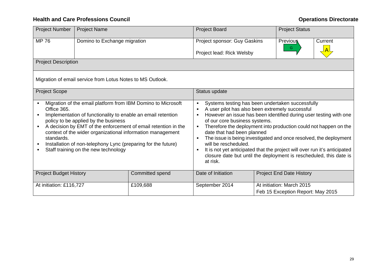| <b>Project Number</b>                                 | <b>Project Name</b>                                                                                                                                                                                                                                                         |                                                                                                                                | <b>Project Board</b>                                                                                                                                                                                                                                                                                                                                                                                                                                                                                                                                                                                             | <b>Project Status</b>                                          |         |
|-------------------------------------------------------|-----------------------------------------------------------------------------------------------------------------------------------------------------------------------------------------------------------------------------------------------------------------------------|--------------------------------------------------------------------------------------------------------------------------------|------------------------------------------------------------------------------------------------------------------------------------------------------------------------------------------------------------------------------------------------------------------------------------------------------------------------------------------------------------------------------------------------------------------------------------------------------------------------------------------------------------------------------------------------------------------------------------------------------------------|----------------------------------------------------------------|---------|
| <b>MP 76</b>                                          | Domino to Exchange migration                                                                                                                                                                                                                                                |                                                                                                                                | Project sponsor: Guy Gaskins                                                                                                                                                                                                                                                                                                                                                                                                                                                                                                                                                                                     | <b>Previous</b>                                                | Current |
|                                                       |                                                                                                                                                                                                                                                                             |                                                                                                                                | Project lead: Rick Welsby                                                                                                                                                                                                                                                                                                                                                                                                                                                                                                                                                                                        | G                                                              |         |
| <b>Project Description</b>                            |                                                                                                                                                                                                                                                                             |                                                                                                                                |                                                                                                                                                                                                                                                                                                                                                                                                                                                                                                                                                                                                                  |                                                                |         |
|                                                       | Migration of email service from Lotus Notes to MS Outlook.                                                                                                                                                                                                                  |                                                                                                                                |                                                                                                                                                                                                                                                                                                                                                                                                                                                                                                                                                                                                                  |                                                                |         |
| <b>Project Scope</b>                                  |                                                                                                                                                                                                                                                                             |                                                                                                                                | Status update                                                                                                                                                                                                                                                                                                                                                                                                                                                                                                                                                                                                    |                                                                |         |
| Office 365.<br>$\blacksquare$<br>standards.<br>٠<br>п | Implementation of functionality to enable an email retention<br>policy to be applied by the business<br>context of the wider organizational information management<br>Installation of non-telephony Lync (preparing for the future)<br>Staff training on the new technology | Migration of the email platform from IBM Domino to Microsoft<br>A decision by EMT of the enforcement of email retention in the | Systems testing has been undertaken successfully<br>$\blacksquare$<br>A user pilot has also been extremely successful<br>$\blacksquare$<br>However an issue has been identified during user testing with one<br>٠<br>of our core business systems.<br>Therefore the deployment into production could not happen on the<br>date that had been planned<br>The issue is being investigated and once resolved, the deployment<br>will be rescheduled.<br>It is not yet anticipated that the project will over run it's anticipated<br>closure date but until the deployment is rescheduled, this date is<br>at risk. |                                                                |         |
| <b>Project Budget History</b>                         |                                                                                                                                                                                                                                                                             | Committed spend                                                                                                                | Date of Initiation                                                                                                                                                                                                                                                                                                                                                                                                                                                                                                                                                                                               | <b>Project End Date History</b>                                |         |
| At initiation: £116,727                               |                                                                                                                                                                                                                                                                             | £109,688                                                                                                                       | September 2014                                                                                                                                                                                                                                                                                                                                                                                                                                                                                                                                                                                                   | At initiation: March 2015<br>Feb 15 Exception Report: May 2015 |         |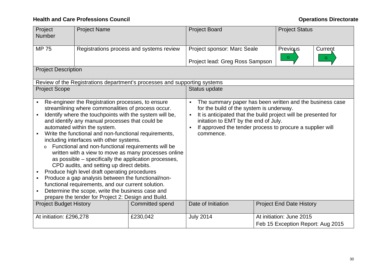# **Health and Care Professions Council Care and Care Professions Council Care and Care Accouncil Care and Care and Care Accouncil Care and Care and Care and Care and Care and Care and Care and Care and Care and Care and Care**

| Project<br><b>Number</b>                    | <b>Project Name</b>                                                                                                                                                                                                                                                                                                                                                                                                                                                                                                                                                                                                                                                                                                                                                                            |                                                                           | <b>Project Board</b>                                                                                                                                                                                                                                                                                       | <b>Project Status</b>                                         |              |
|---------------------------------------------|------------------------------------------------------------------------------------------------------------------------------------------------------------------------------------------------------------------------------------------------------------------------------------------------------------------------------------------------------------------------------------------------------------------------------------------------------------------------------------------------------------------------------------------------------------------------------------------------------------------------------------------------------------------------------------------------------------------------------------------------------------------------------------------------|---------------------------------------------------------------------------|------------------------------------------------------------------------------------------------------------------------------------------------------------------------------------------------------------------------------------------------------------------------------------------------------------|---------------------------------------------------------------|--------------|
| <b>MP 75</b>                                |                                                                                                                                                                                                                                                                                                                                                                                                                                                                                                                                                                                                                                                                                                                                                                                                | Registrations process and systems review                                  | Project sponsor: Marc Seale<br>Project lead: Greg Ross Sampson                                                                                                                                                                                                                                             | Previous<br>G                                                 | Current<br>G |
| <b>Project Description</b>                  |                                                                                                                                                                                                                                                                                                                                                                                                                                                                                                                                                                                                                                                                                                                                                                                                |                                                                           |                                                                                                                                                                                                                                                                                                            |                                                               |              |
|                                             |                                                                                                                                                                                                                                                                                                                                                                                                                                                                                                                                                                                                                                                                                                                                                                                                | Review of the Registrations department's processes and supporting systems |                                                                                                                                                                                                                                                                                                            |                                                               |              |
| <b>Project Scope</b>                        |                                                                                                                                                                                                                                                                                                                                                                                                                                                                                                                                                                                                                                                                                                                                                                                                |                                                                           | Status update                                                                                                                                                                                                                                                                                              |                                                               |              |
| $\blacksquare$<br>$\blacksquare$<br>$\circ$ | Re-engineer the Registration processes, to ensure<br>streamlining where commonalities of process occur.<br>Identify where the touchpoints with the system will be,<br>and identify any manual processes that could be<br>automated within the system.<br>Write the functional and non-functional requirements,<br>including interfaces with other systems.<br>Functional and non-functional requirements will be<br>as possible – specifically the application processes,<br>CPD audits, and setting up direct debits.<br>Produce high level draft operating procedures<br>Produce a gap analysis between the functional/non-<br>functional requirements, and our current solution.<br>Determine the scope, write the business case and<br>prepare the tender for Project 2: Design and Build. | written with a view to move as many processes online                      | The summary paper has been written and the business case<br>for the build of the system is underway.<br>It is anticipated that the build project will be presented for<br>$\blacksquare$<br>initation to EMT by the end of July.<br>If approved the tender process to procure a supplier will<br>commence. |                                                               |              |
| <b>Project Budget History</b>               |                                                                                                                                                                                                                                                                                                                                                                                                                                                                                                                                                                                                                                                                                                                                                                                                | Committed spend                                                           | Date of Initiation                                                                                                                                                                                                                                                                                         | <b>Project End Date History</b>                               |              |
| At initiation: £296,278                     |                                                                                                                                                                                                                                                                                                                                                                                                                                                                                                                                                                                                                                                                                                                                                                                                | £230,042                                                                  | <b>July 2014</b>                                                                                                                                                                                                                                                                                           | At initiation: June 2015<br>Feb 15 Exception Report: Aug 2015 |              |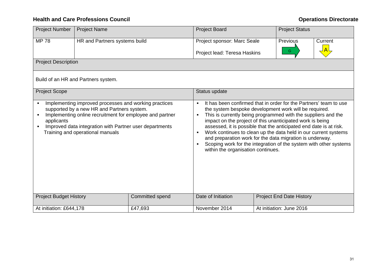| <b>Project Number</b>             | <b>Project Name</b>                                                                                                                                                                                                                                            |                 | <b>Project Board</b>                                                                                                                                                                                                                                                                                                                                                                                                                                                                                                                                                                                                                | <b>Project Status</b>           |         |
|-----------------------------------|----------------------------------------------------------------------------------------------------------------------------------------------------------------------------------------------------------------------------------------------------------------|-----------------|-------------------------------------------------------------------------------------------------------------------------------------------------------------------------------------------------------------------------------------------------------------------------------------------------------------------------------------------------------------------------------------------------------------------------------------------------------------------------------------------------------------------------------------------------------------------------------------------------------------------------------------|---------------------------------|---------|
| <b>MP78</b>                       | HR and Partners systems build                                                                                                                                                                                                                                  |                 | Project sponsor: Marc Seale                                                                                                                                                                                                                                                                                                                                                                                                                                                                                                                                                                                                         | Previous                        | Current |
|                                   |                                                                                                                                                                                                                                                                |                 | Project lead: Teresa Haskins                                                                                                                                                                                                                                                                                                                                                                                                                                                                                                                                                                                                        | G.                              |         |
| <b>Project Description</b>        |                                                                                                                                                                                                                                                                |                 |                                                                                                                                                                                                                                                                                                                                                                                                                                                                                                                                                                                                                                     |                                 |         |
|                                   | Build of an HR and Partners system.                                                                                                                                                                                                                            |                 |                                                                                                                                                                                                                                                                                                                                                                                                                                                                                                                                                                                                                                     |                                 |         |
| <b>Project Scope</b>              |                                                                                                                                                                                                                                                                |                 | Status update                                                                                                                                                                                                                                                                                                                                                                                                                                                                                                                                                                                                                       |                                 |         |
| $\blacksquare$<br>applicants<br>п | Implementing improved processes and working practices<br>supported by a new HR and Partners system.<br>Implementing online recruitment for employee and partner<br>Improved data integration with Partner user departments<br>Training and operational manuals |                 | It has been confirmed that in order for the Partners' team to use<br>$\blacksquare$<br>the system bespoke development work will be required.<br>This is currently being programmed with the suppliers and the<br>$\blacksquare$<br>impact on the project of this unanticipated work is being<br>assessed, it is possible that the anticipated end date is at risk.<br>Work continues to clean up the data held in our current systems<br>$\blacksquare$<br>and preparation work for the data migration is underway.<br>Scoping work for the integration of the system with other systems<br>٠<br>within the organisation continues. |                                 |         |
| <b>Project Budget History</b>     |                                                                                                                                                                                                                                                                | Committed spend | Date of Initiation                                                                                                                                                                                                                                                                                                                                                                                                                                                                                                                                                                                                                  | <b>Project End Date History</b> |         |
| At initiation: £644,178           |                                                                                                                                                                                                                                                                | £47,693         | November 2014                                                                                                                                                                                                                                                                                                                                                                                                                                                                                                                                                                                                                       | At initiation: June 2016        |         |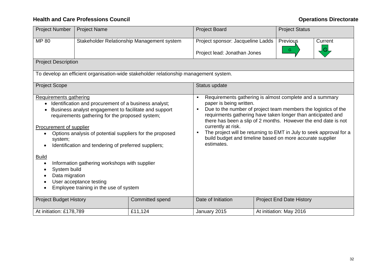| <b>Project Number</b>                                                                                                       | <b>Project Name</b>                                                                                                                                                                                                                                                                                                                                                                                         |                                                                                                                                                                                                                                                                                                                                                                                                                                                                                            | <b>Project Board</b><br><b>Project Status</b>                     |  |                                 |         |  |  |  |
|-----------------------------------------------------------------------------------------------------------------------------|-------------------------------------------------------------------------------------------------------------------------------------------------------------------------------------------------------------------------------------------------------------------------------------------------------------------------------------------------------------------------------------------------------------|--------------------------------------------------------------------------------------------------------------------------------------------------------------------------------------------------------------------------------------------------------------------------------------------------------------------------------------------------------------------------------------------------------------------------------------------------------------------------------------------|-------------------------------------------------------------------|--|---------------------------------|---------|--|--|--|
| MP 80                                                                                                                       |                                                                                                                                                                                                                                                                                                                                                                                                             | Stakeholder Relationship Management system                                                                                                                                                                                                                                                                                                                                                                                                                                                 | Project sponsor: Jacqueline Ladds<br>Project lead: Jonathan Jones |  | Previous<br>G                   | Current |  |  |  |
| <b>Project Description</b>                                                                                                  |                                                                                                                                                                                                                                                                                                                                                                                                             |                                                                                                                                                                                                                                                                                                                                                                                                                                                                                            |                                                                   |  |                                 |         |  |  |  |
|                                                                                                                             |                                                                                                                                                                                                                                                                                                                                                                                                             | To develop an efficient organisation-wide stakeholder relationship management system.                                                                                                                                                                                                                                                                                                                                                                                                      |                                                                   |  |                                 |         |  |  |  |
| <b>Project Scope</b>                                                                                                        |                                                                                                                                                                                                                                                                                                                                                                                                             |                                                                                                                                                                                                                                                                                                                                                                                                                                                                                            | Status update                                                     |  |                                 |         |  |  |  |
| Requirements gathering<br>$\bullet$<br>Procurement of supplier<br>system;<br><b>Build</b><br>System build<br>Data migration | Identification and procurement of a business analyst;<br>Business analyst engagement to facilitate and support<br>requirements gathering for the proposed system;<br>Options analysis of potential suppliers for the proposed<br>Identification and tendering of preferred suppliers;<br>Information gathering workshops with supplier<br>User acceptance testing<br>Employee training in the use of system | Requirements gathering is almost complete and a summary<br>$\blacksquare$<br>paper is being written.<br>Due to the number of project team members the logistics of the<br>٠<br>requirments gathering have taken longer than anticipated and<br>there has been a slip of 2 months. However the end date is not<br>currently at risk.<br>The project will be returning to EMT in July to seek approval for a<br>٠<br>build budget and timeline based on more accurate supplier<br>estimates. |                                                                   |  |                                 |         |  |  |  |
| <b>Project Budget History</b>                                                                                               |                                                                                                                                                                                                                                                                                                                                                                                                             | Committed spend                                                                                                                                                                                                                                                                                                                                                                                                                                                                            | Date of Initiation                                                |  | <b>Project End Date History</b> |         |  |  |  |
| At initiation: £178,789                                                                                                     |                                                                                                                                                                                                                                                                                                                                                                                                             | £11,124                                                                                                                                                                                                                                                                                                                                                                                                                                                                                    | January 2015                                                      |  | At initiation: May 2016         |         |  |  |  |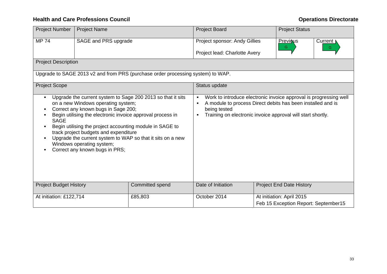| <b>Project Number</b>         | <b>Project Name</b>                                                                                                                                                                                                                                                                                         |                                                                                                                           | <b>Project Board</b>                                                                                                                                                                                                                        |                                      |                |
|-------------------------------|-------------------------------------------------------------------------------------------------------------------------------------------------------------------------------------------------------------------------------------------------------------------------------------------------------------|---------------------------------------------------------------------------------------------------------------------------|---------------------------------------------------------------------------------------------------------------------------------------------------------------------------------------------------------------------------------------------|--------------------------------------|----------------|
| <b>MP 74</b>                  | SAGE and PRS upgrade                                                                                                                                                                                                                                                                                        |                                                                                                                           | Project sponsor: Andy Gillies                                                                                                                                                                                                               | <b>Previous</b><br>G                 | Current \<br>G |
|                               |                                                                                                                                                                                                                                                                                                             |                                                                                                                           | Project lead: Charlotte Avery                                                                                                                                                                                                               |                                      |                |
| <b>Project Description</b>    |                                                                                                                                                                                                                                                                                                             |                                                                                                                           |                                                                                                                                                                                                                                             |                                      |                |
|                               |                                                                                                                                                                                                                                                                                                             | Upgrade to SAGE 2013 v2 and from PRS (purchase order processing system) to WAP.                                           |                                                                                                                                                                                                                                             |                                      |                |
| <b>Project Scope</b>          |                                                                                                                                                                                                                                                                                                             |                                                                                                                           | Status update                                                                                                                                                                                                                               |                                      |                |
| <b>SAGE</b>                   | on a new Windows operating system;<br>Correct any known bugs in Sage 200;<br>Begin utilising the electronic invoice approval process in<br>Begin utilising the project accounting module in SAGE to<br>track project budgets and expenditure<br>Windows operating system;<br>Correct any known bugs in PRS; | Upgrade the current system to Sage 200 2013 so that it sits<br>Upgrade the current system to WAP so that it sits on a new | Work to introduce electronic invoice approval is progressing well<br>٠<br>A module to process Direct debits has been installed and is<br>$\blacksquare$<br>being tested<br>Training on electronic invoice approval will start shortly.<br>п |                                      |                |
| <b>Project Budget History</b> |                                                                                                                                                                                                                                                                                                             | Committed spend                                                                                                           | Date of Initiation                                                                                                                                                                                                                          | <b>Project End Date History</b>      |                |
| At initiation: £122,714       |                                                                                                                                                                                                                                                                                                             | £85,803                                                                                                                   | October 2014                                                                                                                                                                                                                                | At initiation: April 2015            |                |
|                               |                                                                                                                                                                                                                                                                                                             |                                                                                                                           |                                                                                                                                                                                                                                             | Feb 15 Exception Report: September15 |                |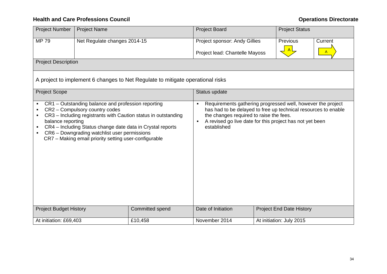| <b>Project Number</b>         | <b>Project Name</b>                                                                                                                                                                                                                                         | <b>Project Board</b><br><b>Project Status</b>                                  |                                                                                                                                                                                                                                                                            |  |                                 |                         |  |  |  |  |
|-------------------------------|-------------------------------------------------------------------------------------------------------------------------------------------------------------------------------------------------------------------------------------------------------------|--------------------------------------------------------------------------------|----------------------------------------------------------------------------------------------------------------------------------------------------------------------------------------------------------------------------------------------------------------------------|--|---------------------------------|-------------------------|--|--|--|--|
| <b>MP79</b>                   | Net Regulate changes 2014-15                                                                                                                                                                                                                                |                                                                                | Project sponsor: Andy Gillies<br>Project lead: Chantelle Mayoss                                                                                                                                                                                                            |  | Previous                        | Current<br>$\mathsf{A}$ |  |  |  |  |
| <b>Project Description</b>    |                                                                                                                                                                                                                                                             |                                                                                |                                                                                                                                                                                                                                                                            |  |                                 |                         |  |  |  |  |
|                               |                                                                                                                                                                                                                                                             | A project to implement 6 changes to Net Regulate to mitigate operational risks |                                                                                                                                                                                                                                                                            |  |                                 |                         |  |  |  |  |
| <b>Project Scope</b>          |                                                                                                                                                                                                                                                             |                                                                                | Status update                                                                                                                                                                                                                                                              |  |                                 |                         |  |  |  |  |
| balance reporting             | CR1 – Outstanding balance and profession reporting<br>CR2 - Compulsory country codes<br>CR4 - Including Status change date data in Crystal reports<br>CR6 - Downgrading watchlist user permissions<br>CR7 - Making email priority setting user-configurable | CR3 - Including registrants with Caution status in outstanding                 | Requirements gathering progressed well, however the project<br>$\blacksquare$<br>has had to be delayed to free up technical resources to enable<br>the changes required to raise the fees.<br>A revised go live date for this project has not yet been<br>п<br>established |  |                                 |                         |  |  |  |  |
| <b>Project Budget History</b> |                                                                                                                                                                                                                                                             | Committed spend                                                                | Date of Initiation                                                                                                                                                                                                                                                         |  | <b>Project End Date History</b> |                         |  |  |  |  |
| At initiation: £69,403        |                                                                                                                                                                                                                                                             | £10,458                                                                        | November 2014                                                                                                                                                                                                                                                              |  | At initiation: July 2015        |                         |  |  |  |  |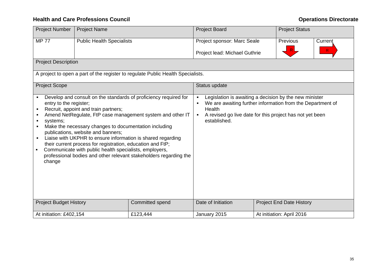| <b>Project Number</b>                                                    | <b>Project Name</b>                                                                                                                                                                                                                                         |                                                                                                                                                                                                                                                                    | <b>Project Board</b><br><b>Project Status</b>                                                                                                                                                                                                  |  |                                 |         |  |  |  |  |  |
|--------------------------------------------------------------------------|-------------------------------------------------------------------------------------------------------------------------------------------------------------------------------------------------------------------------------------------------------------|--------------------------------------------------------------------------------------------------------------------------------------------------------------------------------------------------------------------------------------------------------------------|------------------------------------------------------------------------------------------------------------------------------------------------------------------------------------------------------------------------------------------------|--|---------------------------------|---------|--|--|--|--|--|
| <b>MP 77</b>                                                             | <b>Public Health Specialists</b>                                                                                                                                                                                                                            |                                                                                                                                                                                                                                                                    | Project sponsor: Marc Seale                                                                                                                                                                                                                    |  | Previous                        | Current |  |  |  |  |  |
|                                                                          | $\mathsf R$<br>Project lead: Michael Guthrie                                                                                                                                                                                                                |                                                                                                                                                                                                                                                                    |                                                                                                                                                                                                                                                |  |                                 |         |  |  |  |  |  |
| <b>Project Description</b>                                               |                                                                                                                                                                                                                                                             |                                                                                                                                                                                                                                                                    |                                                                                                                                                                                                                                                |  |                                 |         |  |  |  |  |  |
|                                                                          |                                                                                                                                                                                                                                                             | A project to open a part of the register to regulate Public Health Specialists.                                                                                                                                                                                    |                                                                                                                                                                                                                                                |  |                                 |         |  |  |  |  |  |
| <b>Project Scope</b><br>Status update                                    |                                                                                                                                                                                                                                                             |                                                                                                                                                                                                                                                                    |                                                                                                                                                                                                                                                |  |                                 |         |  |  |  |  |  |
| entry to the register;<br>systems;<br>٠<br>٠<br>$\blacksquare$<br>change | Recruit, appoint and train partners;<br>Make the necessary changes to documentation including<br>publications, website and banners;<br>their current process for registration, education and FtP;<br>Communicate with public health specialists, employers, | Develop and consult on the standards of proficiency required for<br>Amend NetRegulate, FtP case management system and other IT<br>Liaise with UKPHR to ensure information is shared regarding<br>professional bodies and other relevant stakeholders regarding the | Legislation is awaiting a decision by the new minister<br>$\blacksquare$<br>We are awaiting further information from the Department of<br>Health<br>A revised go live date for this project has not yet been<br>$\blacksquare$<br>established. |  |                                 |         |  |  |  |  |  |
| <b>Project Budget History</b>                                            |                                                                                                                                                                                                                                                             | Committed spend                                                                                                                                                                                                                                                    | Date of Initiation                                                                                                                                                                                                                             |  | <b>Project End Date History</b> |         |  |  |  |  |  |
| At initiation: £402,154                                                  |                                                                                                                                                                                                                                                             | £123,444                                                                                                                                                                                                                                                           | January 2015                                                                                                                                                                                                                                   |  | At initiation: April 2016       |         |  |  |  |  |  |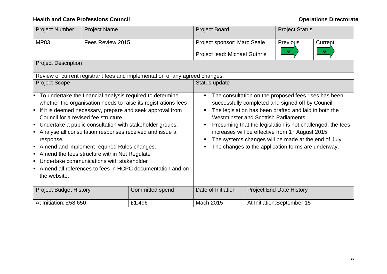| <b>Project Number</b>         | <b>Project Name</b>                                                                                                                                                             |                                                                                                                                                                                                                                                                                                                                                                              | <b>Project Board</b>                             |                                 | <b>Project Status</b>                                                                                                                                                                                                                                                                                                                          |                                                            |  |  |
|-------------------------------|---------------------------------------------------------------------------------------------------------------------------------------------------------------------------------|------------------------------------------------------------------------------------------------------------------------------------------------------------------------------------------------------------------------------------------------------------------------------------------------------------------------------------------------------------------------------|--------------------------------------------------|---------------------------------|------------------------------------------------------------------------------------------------------------------------------------------------------------------------------------------------------------------------------------------------------------------------------------------------------------------------------------------------|------------------------------------------------------------|--|--|
| <b>MP83</b>                   | Fees Review 2015                                                                                                                                                                |                                                                                                                                                                                                                                                                                                                                                                              | Project sponsor: Marc Seale                      |                                 | Previous                                                                                                                                                                                                                                                                                                                                       | Current                                                    |  |  |
|                               |                                                                                                                                                                                 |                                                                                                                                                                                                                                                                                                                                                                              | Project lead: Michael Guthrie                    |                                 | G.                                                                                                                                                                                                                                                                                                                                             | G.                                                         |  |  |
| <b>Project Description</b>    |                                                                                                                                                                                 |                                                                                                                                                                                                                                                                                                                                                                              |                                                  |                                 |                                                                                                                                                                                                                                                                                                                                                |                                                            |  |  |
|                               |                                                                                                                                                                                 | Review of current registrant fees and implementation of any agreed changes.                                                                                                                                                                                                                                                                                                  |                                                  |                                 |                                                                                                                                                                                                                                                                                                                                                |                                                            |  |  |
| <b>Project Scope</b>          |                                                                                                                                                                                 |                                                                                                                                                                                                                                                                                                                                                                              | Status update                                    |                                 |                                                                                                                                                                                                                                                                                                                                                |                                                            |  |  |
| response<br>the website.      | Council for a revised fee structure<br>Amend and implement required Rules changes.<br>Amend the fees structure within Net Regulate<br>Undertake communications with stakeholder | To undertake the financial analysis required to determine<br>whether the organisation needs to raise its registrations fees<br>If it is deemed necessary, prepare and seek approval from<br>Undertake a public consultation with stakeholder groups.<br>Analyse all consultation responses received and issue a<br>Amend all references to fees in HCPC documentation and on | ш<br><b>Westminster and Scottish Parliaments</b> |                                 | The consultation on the proposed fees rises has been<br>successfully completed and signed off by Council<br>The legislation has been drafted and laid in both the<br>increases will be effective from 1 <sup>st</sup> August 2015<br>The systems changes will be made at the end of July<br>The changes to the application forms are underway. | Presuming that the legislation is not challenged, the fees |  |  |
| <b>Project Budget History</b> |                                                                                                                                                                                 | <b>Committed spend</b>                                                                                                                                                                                                                                                                                                                                                       | Date of Initiation                               | <b>Project End Date History</b> |                                                                                                                                                                                                                                                                                                                                                |                                                            |  |  |
| At Initiation: £58,650        |                                                                                                                                                                                 | £1,496                                                                                                                                                                                                                                                                                                                                                                       | Mach 2015<br>At Initiation: September 15         |                                 |                                                                                                                                                                                                                                                                                                                                                |                                                            |  |  |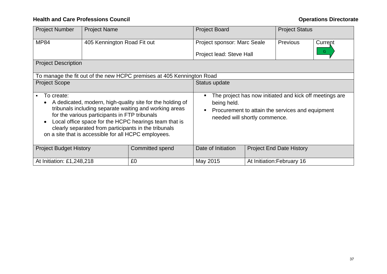| <b>Project Number</b>         | <b>Project Name</b>                                                                                   |                                                                                                                                                                                                                                      | <b>Project Board</b><br><b>Project Status</b>                                              |  |                                                                                                             |  |  |  |  |  |
|-------------------------------|-------------------------------------------------------------------------------------------------------|--------------------------------------------------------------------------------------------------------------------------------------------------------------------------------------------------------------------------------------|--------------------------------------------------------------------------------------------|--|-------------------------------------------------------------------------------------------------------------|--|--|--|--|--|
| <b>MP84</b>                   | 405 Kennington Road Fit out                                                                           |                                                                                                                                                                                                                                      | Project sponsor: Marc Seale<br><b>Previous</b><br>Current<br>G<br>Project lead: Steve Hall |  |                                                                                                             |  |  |  |  |  |
| <b>Project Description</b>    |                                                                                                       |                                                                                                                                                                                                                                      |                                                                                            |  |                                                                                                             |  |  |  |  |  |
|                               |                                                                                                       | To manage the fit out of the new HCPC premises at 405 Kennington Road                                                                                                                                                                |                                                                                            |  |                                                                                                             |  |  |  |  |  |
| <b>Project Scope</b>          |                                                                                                       |                                                                                                                                                                                                                                      | Status update                                                                              |  |                                                                                                             |  |  |  |  |  |
| To create:                    | for the various participants in FTP tribunals<br>on a site that is accessible for all HCPC employees. | A dedicated, modern, high-quality site for the holding of<br>tribunals including separate waiting and working areas<br>Local office space for the HCPC hearings team that is<br>clearly separated from participants in the tribunals | being held.<br>needed will shortly commence.                                               |  | The project has now initiated and kick off meetings are<br>Procurement to attain the services and equipment |  |  |  |  |  |
| <b>Project Budget History</b> |                                                                                                       | <b>Committed spend</b>                                                                                                                                                                                                               | Date of Initiation<br><b>Project End Date History</b>                                      |  |                                                                                                             |  |  |  |  |  |
| At Initiation: £1,248,218     |                                                                                                       | £0                                                                                                                                                                                                                                   | May 2015                                                                                   |  | At Initiation: February 16                                                                                  |  |  |  |  |  |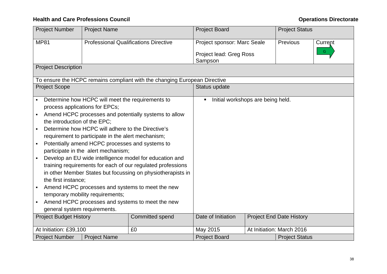| <b>Project Number</b>         | <b>Project Name</b>                                |                                                                           | <b>Project Board</b>                                |  | <b>Project Status</b>           |         |  |  |  |  |
|-------------------------------|----------------------------------------------------|---------------------------------------------------------------------------|-----------------------------------------------------|--|---------------------------------|---------|--|--|--|--|
| <b>MP81</b>                   |                                                    | <b>Professional Qualifications Directive</b>                              | Project sponsor: Marc Seale                         |  | Previous                        | Current |  |  |  |  |
|                               |                                                    |                                                                           | G<br>Project lead: Greg Ross                        |  |                                 |         |  |  |  |  |
|                               |                                                    |                                                                           | Sampson                                             |  |                                 |         |  |  |  |  |
| <b>Project Description</b>    |                                                    |                                                                           |                                                     |  |                                 |         |  |  |  |  |
|                               |                                                    | To ensure the HCPC remains compliant with the changing European Directive |                                                     |  |                                 |         |  |  |  |  |
| <b>Project Scope</b>          |                                                    |                                                                           | Status update                                       |  |                                 |         |  |  |  |  |
|                               | Determine how HCPC will meet the requirements to   |                                                                           | Initial workshops are being held.<br>$\blacksquare$ |  |                                 |         |  |  |  |  |
|                               | process applications for EPCs;                     |                                                                           |                                                     |  |                                 |         |  |  |  |  |
|                               |                                                    | Amend HCPC processes and potentially systems to allow                     |                                                     |  |                                 |         |  |  |  |  |
| the introduction of the EPC;  |                                                    |                                                                           |                                                     |  |                                 |         |  |  |  |  |
|                               | Determine how HCPC will adhere to the Directive's  |                                                                           |                                                     |  |                                 |         |  |  |  |  |
|                               | requirement to participate in the alert mechanism; |                                                                           |                                                     |  |                                 |         |  |  |  |  |
|                               | Potentially amend HCPC processes and systems to    |                                                                           |                                                     |  |                                 |         |  |  |  |  |
|                               | participate in the alert mechanism;                |                                                                           |                                                     |  |                                 |         |  |  |  |  |
|                               |                                                    | Develop an EU wide intelligence model for education and                   |                                                     |  |                                 |         |  |  |  |  |
|                               |                                                    | training requirements for each of our regulated professions               |                                                     |  |                                 |         |  |  |  |  |
|                               |                                                    | in other Member States but focussing on physiotherapists in               |                                                     |  |                                 |         |  |  |  |  |
| the first instance;           |                                                    |                                                                           |                                                     |  |                                 |         |  |  |  |  |
|                               |                                                    | Amend HCPC processes and systems to meet the new                          |                                                     |  |                                 |         |  |  |  |  |
|                               | temporary mobility requirements;                   |                                                                           |                                                     |  |                                 |         |  |  |  |  |
|                               |                                                    | Amend HCPC processes and systems to meet the new                          |                                                     |  |                                 |         |  |  |  |  |
| general system requirements.  |                                                    |                                                                           |                                                     |  |                                 |         |  |  |  |  |
| <b>Project Budget History</b> |                                                    | <b>Committed spend</b>                                                    | Date of Initiation                                  |  | <b>Project End Date History</b> |         |  |  |  |  |
|                               |                                                    |                                                                           |                                                     |  |                                 |         |  |  |  |  |
| At Initiation: £39,100        |                                                    | £0                                                                        | May 2015                                            |  | At Initiation: March 2016       |         |  |  |  |  |
| <b>Project Number</b>         | <b>Project Name</b>                                |                                                                           | <b>Project Board</b>                                |  | <b>Project Status</b>           |         |  |  |  |  |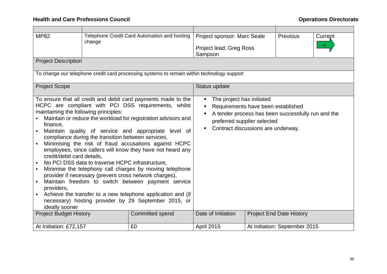| <b>MP82</b>                                                                                                     | change                                                                                                 | Telephone Credit Card Automation and hosting                                                                                                                                                                                                                                                                                                                                                                                                                                                                                                                                                                                                                            | Project sponsor: Marc Seale<br><b>Previous</b><br>Current<br>G<br>Project lead: Greg Ross<br>Sampson                                       |  |                                                    |  |  |  |  |  |
|-----------------------------------------------------------------------------------------------------------------|--------------------------------------------------------------------------------------------------------|-------------------------------------------------------------------------------------------------------------------------------------------------------------------------------------------------------------------------------------------------------------------------------------------------------------------------------------------------------------------------------------------------------------------------------------------------------------------------------------------------------------------------------------------------------------------------------------------------------------------------------------------------------------------------|--------------------------------------------------------------------------------------------------------------------------------------------|--|----------------------------------------------------|--|--|--|--|--|
| <b>Project Description</b>                                                                                      |                                                                                                        |                                                                                                                                                                                                                                                                                                                                                                                                                                                                                                                                                                                                                                                                         |                                                                                                                                            |  |                                                    |  |  |  |  |  |
|                                                                                                                 |                                                                                                        | To change our telephone credit card processing systems to remain within technology support                                                                                                                                                                                                                                                                                                                                                                                                                                                                                                                                                                              |                                                                                                                                            |  |                                                    |  |  |  |  |  |
| <b>Project Scope</b>                                                                                            |                                                                                                        |                                                                                                                                                                                                                                                                                                                                                                                                                                                                                                                                                                                                                                                                         |                                                                                                                                            |  |                                                    |  |  |  |  |  |
| maintaining the following principles:<br>finance,<br>credit/debit card details,<br>providers,<br>ideally sooner | compliance during the transition between services,<br>No PCI DSS data to traverse HCPC infrastructure, | To ensure that all credit and debit card payments made to the<br>HCPC are compliant with PCI DSS requirements, whilst<br>Maintain or reduce the workload for registration advisors and<br>Maintain quality of service and appropriate level of<br>Minimising the risk of fraud accusations against HCPC<br>employees, since callers will know they have not heard any<br>Minimise the telephony call charges by moving telephone<br>provider if necessary (prevent cross network charges),<br>Maintain freedom to switch between payment service<br>Achieve the transfer to a new telephone application and (if<br>necessary) hosting provider by 29 September 2015, or | The project has initiated<br>п.<br>Requirements have been established<br>preferred supplier selected<br>Contract discussions are underway. |  | A tender process has been successfully run and the |  |  |  |  |  |
| <b>Project Budget History</b>                                                                                   |                                                                                                        | <b>Committed spend</b>                                                                                                                                                                                                                                                                                                                                                                                                                                                                                                                                                                                                                                                  | Date of Initiation<br><b>Project End Date History</b>                                                                                      |  |                                                    |  |  |  |  |  |
| At Initiation: £72,157                                                                                          |                                                                                                        | £0                                                                                                                                                                                                                                                                                                                                                                                                                                                                                                                                                                                                                                                                      | April 2015                                                                                                                                 |  | At Initiation: September 2015                      |  |  |  |  |  |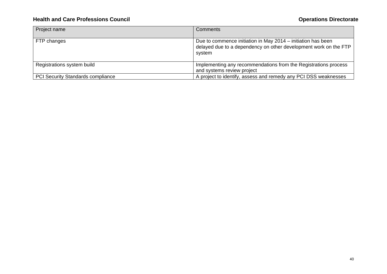| Project name                             | Comments                                                                                                                                   |
|------------------------------------------|--------------------------------------------------------------------------------------------------------------------------------------------|
| FTP changes                              | Due to commence initiation in May 2014 – initiation has been<br>delayed due to a dependency on other development work on the FTP<br>system |
| Registrations system build               | Implementing any recommendations from the Registrations process<br>and systems review project                                              |
| <b>PCI Security Standards compliance</b> | A project to identify, assess and remedy any PCI DSS weaknesses                                                                            |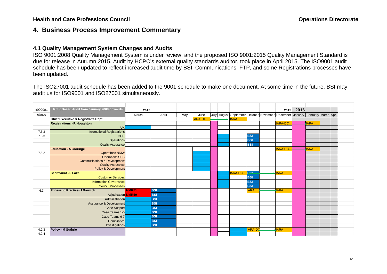# **4. Business Process Improvement Commentary**

## **4.1 Quality Management System Changes and Audits**

ISO 9001:2008 Quality Management System is under review, and the proposed ISO 9001:2015 Quality Management Standard is due for release in Autumn 2015. Audit by HCPC's external quality standards auditor, took place in April 2015. The ISO9001 audit schedule has been updated to reflect increased audit time by BSI. Communications, FTP, and some Registrations processes have been updated.

The ISO27001 audit schedule has been added to the 9001 schedule to make one document. At some time in the future, BSI may audit us for ISO9001 and ISO27001 simultaneously.

| <b>ISO9001</b> | RISK Based Audit from January 2008 onwards                          | 2015         |            |     |                |  |                                                                                                |                | 2015            | 2016 |             |  |
|----------------|---------------------------------------------------------------------|--------------|------------|-----|----------------|--|------------------------------------------------------------------------------------------------|----------------|-----------------|------|-------------|--|
| clause         |                                                                     | March        | April      | May | June           |  | July   August   September   October   November   December   January   February   March   April |                |                 |      |             |  |
|                | <b>Chief Executive &amp; Registrar's Dept</b>                       |              |            |     | <b>IARA-DC</b> |  | $\rightarrow$ <b>IARA</b>                                                                      |                |                 |      |             |  |
|                | <b>Registrations - R Houghton</b>                                   |              |            |     |                |  |                                                                                                |                | <b>IARA-DC-</b> |      | <b>JARA</b> |  |
|                | <b>UK</b>                                                           |              |            |     |                |  |                                                                                                |                |                 |      |             |  |
| 7.5.3          | <b>International Registrations</b>                                  |              |            |     |                |  |                                                                                                |                |                 |      |             |  |
| 7.5.3          | <b>CPD</b>                                                          |              |            |     |                |  |                                                                                                | <b>BSI</b>     |                 |      |             |  |
|                | Operations                                                          |              |            |     |                |  |                                                                                                | <b>BSI</b>     |                 |      |             |  |
|                | <b>Quality Assurance</b>                                            |              |            |     |                |  |                                                                                                | <b>BSI</b>     |                 |      |             |  |
|                | <b>Education - A Gorringe</b>                                       |              |            |     |                |  |                                                                                                |                | <b>IARA-DC.</b> |      | <b>JARA</b> |  |
| 7.5.2          | <b>Operations NNIW</b>                                              |              |            |     |                |  |                                                                                                |                |                 |      |             |  |
|                | <b>Operations SES</b>                                               |              |            |     |                |  |                                                                                                |                |                 |      |             |  |
|                | <b>Communications &amp; Development</b><br><b>Quality Assurance</b> |              |            |     |                |  |                                                                                                |                |                 |      |             |  |
|                | Policy & Development                                                |              |            |     |                |  |                                                                                                |                |                 |      |             |  |
|                | <b>Secretariat - L Lake</b>                                         |              |            |     |                |  | <b>IARA-DC</b>                                                                                 | <b>BS!</b>     | <b>IARA</b>     |      |             |  |
|                | <b>Customer Services</b>                                            |              |            |     |                |  |                                                                                                | <b>BSI</b>     |                 |      |             |  |
|                | <b>Information Governance</b>                                       |              |            |     |                |  |                                                                                                | <b>BSI</b>     |                 |      |             |  |
|                | <b>Council Processes</b>                                            |              |            |     |                |  |                                                                                                | <b>BSI</b>     |                 |      |             |  |
| 6.3            | <b>Fitness to Practise- J Barwick</b>                               | <b>NMR51</b> | <b>BSI</b> |     |                |  |                                                                                                | <b>IARA</b>    | <b>JARA</b>     |      |             |  |
|                | Adjudication NMR50                                                  |              | <b>BSI</b> |     |                |  |                                                                                                |                |                 |      |             |  |
|                | Administration                                                      |              | <b>BSI</b> |     |                |  |                                                                                                |                |                 |      |             |  |
|                | <b>Assurance &amp; Development</b>                                  |              | <b>BSI</b> |     |                |  |                                                                                                |                |                 |      |             |  |
|                | Case Support                                                        |              | <b>BSI</b> |     |                |  |                                                                                                |                |                 |      |             |  |
|                | Case Teams 1-5                                                      |              | <b>BSI</b> |     |                |  |                                                                                                |                |                 |      |             |  |
|                | Case Teams 6-7                                                      |              | <b>BSI</b> |     |                |  |                                                                                                |                |                 |      |             |  |
|                | Compliance                                                          |              | <b>BSI</b> |     |                |  |                                                                                                |                |                 |      |             |  |
|                | Investigations                                                      |              | <b>BSI</b> |     |                |  |                                                                                                |                |                 |      |             |  |
| 4.2.3          | Policy - M Guthrie                                                  |              |            |     |                |  |                                                                                                | <b>IARA-DC</b> | <b>IARA</b>     |      |             |  |
| 4.2.4          |                                                                     |              |            |     |                |  |                                                                                                |                |                 |      |             |  |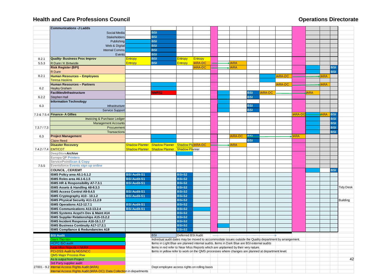|                          | <b>Communications -J Ladds</b>                                                |                     |                                                                                                          |                    |                |  |               |            |               |                |               |             |             |            |                  |
|--------------------------|-------------------------------------------------------------------------------|---------------------|----------------------------------------------------------------------------------------------------------|--------------------|----------------|--|---------------|------------|---------------|----------------|---------------|-------------|-------------|------------|------------------|
|                          | Social Media                                                                  |                     | <b>BSI</b>                                                                                               |                    |                |  |               |            |               |                |               |             |             |            |                  |
|                          | Stakeholders                                                                  |                     | <b>BSI</b>                                                                                               |                    |                |  |               |            |               |                |               |             |             |            |                  |
|                          | Publishing                                                                    |                     | <b>BSI</b>                                                                                               |                    |                |  |               |            |               |                |               |             |             |            |                  |
|                          | Web & Digital                                                                 |                     | <b>BSI</b>                                                                                               |                    |                |  |               |            |               |                |               |             |             |            |                  |
|                          | <b>Internal Comms</b>                                                         |                     | <b>BSI</b>                                                                                               |                    |                |  |               |            |               |                |               |             |             |            |                  |
|                          | Events                                                                        |                     | <b>BSI</b>                                                                                               |                    |                |  |               |            |               |                |               |             |             |            |                  |
| 8.2.1                    | <b>Quality-Business Proc Improv</b>                                           | Entropy             | <b>BSI</b>                                                                                               | Entropy            | Entropy        |  |               |            |               |                |               |             |             |            |                  |
| 5.5.3                    | R Dunn / K Birtwistle                                                         | Entropy             | <b>BSI</b>                                                                                               | <b>Entropy</b>     | <b>IARA-DC</b> |  | <b>IARA</b>   |            |               |                |               |             |             |            |                  |
|                          | <b>Risk Register (BPI)</b>                                                    |                     |                                                                                                          |                    | <b>IARA-DC</b> |  | <b>ARA</b>    |            |               |                |               |             |             | <b>BSI</b> |                  |
|                          | R Dunn                                                                        |                     |                                                                                                          |                    |                |  |               |            |               |                |               |             |             | <b>BSI</b> |                  |
| 8.2.1                    | <b>Human Resources - Employees</b>                                            |                     |                                                                                                          |                    |                |  |               |            |               | ARA-DC         |               |             | <b>IARA</b> |            |                  |
|                          | <b>Teresa Haskins</b>                                                         |                     |                                                                                                          |                    |                |  |               |            |               |                |               |             |             |            |                  |
|                          | <b>Human Resources - Partners</b>                                             |                     |                                                                                                          |                    |                |  |               |            |               | <b>IARA-DC</b> |               |             | <b>IARA</b> |            |                  |
| 6.2                      | <b>Hayley Graham</b>                                                          |                     |                                                                                                          |                    |                |  |               |            |               |                |               |             |             |            |                  |
|                          | <b>Facilities/Infrastructure</b>                                              |                     | <b>NMR52</b>                                                                                             |                    |                |  |               | <b>BSI</b> | <b>ARA-DC</b> |                |               | <b>IARA</b> |             |            |                  |
| 6.2.2                    | Stephen Hall                                                                  |                     |                                                                                                          |                    |                |  |               | <b>BSI</b> |               |                |               |             |             |            |                  |
|                          | <b>Information Technology</b>                                                 |                     |                                                                                                          |                    |                |  |               |            |               |                |               |             |             |            |                  |
| 6.3                      | Infrastructure                                                                |                     |                                                                                                          |                    |                |  |               | <b>BSI</b> |               |                |               |             |             |            |                  |
|                          | Service Support                                                               |                     |                                                                                                          |                    |                |  |               | <b>BSI</b> |               |                |               |             |             |            |                  |
|                          | 7.3 & 7.5.4 Finance- A Gillies                                                |                     |                                                                                                          |                    |                |  |               |            |               |                | <b>ARA-DO</b> |             | <b>ARA</b>  | <b>BSI</b> |                  |
|                          | <b>Invoicing &amp; Purchase Ledger</b>                                        |                     |                                                                                                          |                    |                |  |               |            |               |                |               |             |             | <b>BSI</b> |                  |
|                          |                                                                               |                     |                                                                                                          |                    |                |  |               |            |               |                |               |             |             | <b>BSI</b> |                  |
|                          | <b>Management Accounts</b>                                                    |                     |                                                                                                          |                    |                |  |               |            |               |                |               |             |             | <b>BSI</b> |                  |
| 7.3.7 / 7.3              | Procurement                                                                   |                     |                                                                                                          |                    |                |  |               |            |               |                |               |             |             | <b>BSI</b> |                  |
|                          | Transactions                                                                  |                     |                                                                                                          |                    |                |  |               |            |               |                |               |             |             |            |                  |
| 6.3                      | <b>Project Management</b>                                                     |                     |                                                                                                          |                    |                |  | <b>ARA-DC</b> | <b>BSI</b> |               |                | <b>IARA</b>   |             |             |            |                  |
|                          | <b>Claire Reed</b>                                                            |                     |                                                                                                          |                    |                |  |               | <b>BSI</b> |               |                |               |             |             |            |                  |
|                          | <b>Disaster Recovery</b>                                                      |                     | Shadow Planner Shadow Planner Shadow Pla IARA-DC                                                         |                    |                |  | <b>IARA</b>   |            |               |                |               |             |             |            |                  |
| 7.4.2/7.4 <b>EMT/CDT</b> |                                                                               |                     | Shadow Planner Shadow Planner Shadow Planner                                                             |                    |                |  |               |            |               |                |               |             |             |            |                  |
|                          | <b>DeepStoreArchive</b>                                                       |                     |                                                                                                          |                    |                |  |               |            |               |                |               |             |             |            |                  |
|                          | <b>Europa QP Printers</b>                                                     |                     |                                                                                                          |                    |                |  |               |            |               |                |               |             |             |            |                  |
|                          | <b>ServicePointScan &amp; Copy</b>                                            |                     |                                                                                                          |                    |                |  |               |            |               |                |               |             |             |            |                  |
| 7.5.5                    | Eventsforce Events sign up online                                             |                     |                                                                                                          |                    |                |  |               |            |               |                |               |             |             |            |                  |
|                          | <b>COUNCIL, CER/EMT</b>                                                       |                     |                                                                                                          |                    |                |  |               |            |               |                |               |             |             | <b>BSI</b> |                  |
|                          | ISMS Policy area A5.1-5.1.2                                                   | <b>BSI Audit-S1</b> |                                                                                                          | <b>BSI-S2</b>      |                |  |               |            |               |                |               |             |             |            |                  |
|                          | ISMS Roles area A6.1-6.1.5                                                    | <b>BSI Audit-S1</b> |                                                                                                          | <b>BSI-S2</b>      |                |  |               |            |               |                |               |             |             |            |                  |
|                          | ISMS HR & Responsibility A7-7.3.1                                             | <b>BSI Audit-S1</b> |                                                                                                          | <b>BSI-S2</b>      |                |  |               |            |               |                |               |             |             |            |                  |
|                          | ISMS Assets & Handling A8-8.3.3                                               |                     |                                                                                                          | <b>BSI-S2</b>      |                |  |               |            |               |                |               |             |             |            | <b>Tidy Desk</b> |
|                          | <b>ISMS Access Control A9-9.4.5</b>                                           | <b>BSI Audit-S1</b> |                                                                                                          | <b>BSI-S2</b>      |                |  |               |            |               |                |               |             |             |            |                  |
|                          | ISMS Cryptography A10 - 10.1.2                                                | <b>BSI Audit-S1</b> |                                                                                                          | <b>BSI-S2</b>      |                |  |               |            |               |                |               |             |             |            |                  |
|                          | ISMS Physical Security A11-11.2.9                                             |                     |                                                                                                          | <b>BSI-S2</b>      |                |  |               |            |               |                |               |             |             |            | <b>Building</b>  |
|                          | ISMS Operations A12-12.7.1                                                    | <b>BSI Audit-S1</b> |                                                                                                          | <b>BSI-S2</b>      |                |  |               |            |               |                |               |             |             |            |                  |
|                          | <b>ISMS Communications A13-13.2.4</b>                                         | <b>BSI Audit-S1</b> |                                                                                                          | <b>BSI-S2</b>      |                |  |               |            |               |                |               |             |             |            |                  |
|                          | ISMS Systems Acqst'n Dev & Maint A14                                          |                     |                                                                                                          | <b>BSI-S2</b>      |                |  |               |            |               |                |               |             |             |            |                  |
|                          | ISMS Supplier Relationships A15-15.2.2                                        |                     |                                                                                                          | <b>BSI-S2</b>      |                |  |               |            |               |                |               |             |             |            |                  |
|                          | ISMS Incident Response A16-16.1.17                                            |                     |                                                                                                          | <b>BSI-S2</b>      |                |  |               |            |               |                |               |             |             |            |                  |
|                          | ISMS Business Continuity A17-17.2.1                                           |                     |                                                                                                          | <b>BSI-S2</b>      |                |  |               |            |               |                |               |             |             |            |                  |
|                          | ISMS Compliance & Redundancies A18                                            |                     |                                                                                                          | <b>BSI-S2</b>      |                |  |               |            |               |                |               |             |             |            |                  |
|                          | <b>BSI Audit</b>                                                              |                     | <b>BSI</b>                                                                                               | Deferred BSI Audit |                |  |               |            | $\rightarrow$ |                |               |             |             |            |                  |
|                          | <b>Grant Thornton</b>                                                         |                     | Individual audit dates may be moved to accommodate issues outside the Quality department by arrangement. |                    |                |  |               |            |               |                |               |             |             |            |                  |
|                          | <b>HCPC ISO audit</b>                                                         |                     | Items in Light Blue are planned internal audits. Items in Dark Blue are BSI external audits              |                    |                |  |               |            |               |                |               |             |             |            |                  |
|                          | <b>Near Miss Reports = NMR#</b>                                               |                     | Items in red refer to Near Miss Reports which are unplanned by their very nature.                        |                    |                |  |               |            |               |                |               |             |             |            |                  |
|                          | <b>PCI-DSS Audit by NGS/NCC</b>                                               |                     | Items in yellow refer to work on the QMS processes where changes are planned at department level.        |                    |                |  |               |            |               |                |               |             |             |            |                  |
|                          | <b>QMS Major Process Rww</b>                                                  |                     |                                                                                                          |                    |                |  |               |            |               |                |               |             |             |            |                  |
|                          | As Is output from Project                                                     |                     |                                                                                                          |                    |                |  |               |            |               |                |               |             |             |            | 42               |
|                          | 3rd Party supplier audit<br>27001 - 9.2 Internal Access Rights Audit (IARA)   |                     |                                                                                                          |                    |                |  |               |            |               |                |               |             |             |            |                  |
|                          | <b>Internal Access Rights Audit (IARA-DC); Data Collection in departments</b> |                     | Dept employee access rights on rolling basis                                                             |                    |                |  |               |            |               |                |               |             |             |            |                  |
|                          |                                                                               |                     |                                                                                                          |                    |                |  |               |            |               |                |               |             |             |            |                  |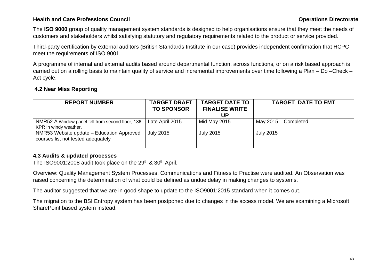# **Health and Care Professions Council Care and Care Professions Council Care and Care Professions Council Care and Care and Care and Care and Care and Care and Care and Care and Care and Care and Care and Care and Care and**

The **ISO 9000** group of quality management system standards is designed to help organisations ensure that they meet the needs of customers and stakeholders whilst satisfying statutory and regulatory requirements related to the product or service provided.

Third-party certification by external auditors (British Standards Institute in our case) provides independent confirmation that HCPC meet the requirements of ISO 9001.

A programme of internal and external audits based around departmental function, across functions, or on a risk based approach is carried out on a rolling basis to maintain quality of service and incremental improvements over time following a Plan – Do –Check – Act cycle.

# **4.2 Near Miss Reporting**

| <b>REPORT NUMBER</b>                                                            | <b>TARGET DRAFT</b><br><b>TO SPONSOR</b> | <b>TARGET DATE TO</b><br><b>FINALISE WRITE</b><br>UP | <b>TARGET DATE TO EMT</b> |
|---------------------------------------------------------------------------------|------------------------------------------|------------------------------------------------------|---------------------------|
| NMR52 A window panel fell from second floor, 186<br>KPR in windy weather.       | Late April 2015                          | Mid May 2015                                         | May $2015 -$ Completed    |
| NMR53 Website update - Education Approved<br>courses list not tested adequately | <b>July 2015</b>                         | <b>July 2015</b>                                     | <b>July 2015</b>          |
|                                                                                 |                                          |                                                      |                           |

# **4.3 Audits & updated processes**

The ISO9001:2008 audit took place on the 29<sup>th</sup> & 30<sup>th</sup> April.

Overview: Quality Management System Processes, Communications and Fitness to Practise were audited. An Observation was raised concerning the determination of what could be defined as undue delay in making changes to systems.

The auditor suggested that we are in good shape to update to the ISO9001:2015 standard when it comes out.

The migration to the BSI Entropy system has been postponed due to changes in the access model. We are examining a Microsoft SharePoint based system instead.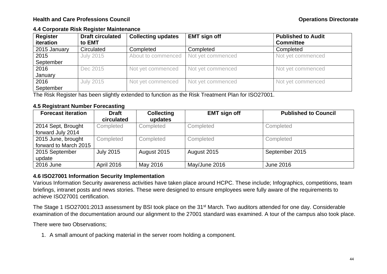## **4.4 Corporate Risk Register Maintenance**

| <b>Register</b><br>iteration | <b>Draft circulated</b><br>to EMT | <b>Collecting updates</b> | <b>EMT sign off</b> | <b>Published to Audit</b><br><b>Committee</b> |
|------------------------------|-----------------------------------|---------------------------|---------------------|-----------------------------------------------|
| 2015 January                 | Circulated                        | Completed                 | Completed           | Completed                                     |
| 2015                         | <b>July 2015</b>                  | About to commenced        | Not yet commenced   | Not yet commenced                             |
| September                    |                                   |                           |                     |                                               |
| 2016                         | Dec 2015                          | Not yet commenced         | Not yet commenced   | Not yet commenced                             |
| January                      |                                   |                           |                     |                                               |
| 2016                         | <b>July 2015</b>                  | Not yet commenced         | Not yet commenced   | Not yet commenced                             |
| September                    |                                   |                           |                     |                                               |

The Risk Register has been slightly extended to function as the Risk Treatment Plan for ISO27001.

# **4.5 Registrant Number Forecasting**

| <b>Forecast iteration</b>                   | <b>Draft</b><br>circulated | <b>Collecting</b><br>updates | <b>EMT sign off</b> | <b>Published to Council</b> |
|---------------------------------------------|----------------------------|------------------------------|---------------------|-----------------------------|
| 2014 Sept, Brought<br>forward July 2014     | Completed                  | Completed                    | Completed           | Completed                   |
| 2015 June, brought<br>forward to March 2015 | Completed                  | Completed                    | Completed           | Completed                   |
| 2015 September<br>update                    | <b>July 2015</b>           | August 2015                  | August 2015         | September 2015              |
| 2016 June                                   | <b>April 2016</b>          | May 2016                     | May/June 2016       | <b>June 2016</b>            |

# **4.6 ISO27001 Information Security Implementation**

Various Information Security awareness activities have taken place around HCPC. These include; Infographics, competitions, team briefings, intranet posts and news stories. These were designed to ensure employees were fully aware of the requirements to achieve ISO27001 certification.

The Stage 1 ISO27001:2013 assessment by BSI took place on the 31<sup>st</sup> March. Two auditors attended for one day. Considerable examination of the documentation around our alignment to the 27001 standard was examined. A tour of the campus also took place.

There were two Observations;

1. A small amount of packing material in the server room holding a component.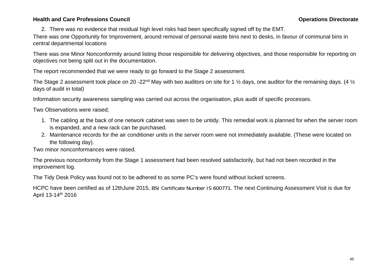# **Health and Care Professions Council Care and Care Professions Council Care and Care Professions Council Care and Care and Care and Care and Care and Care and Care and Care and Care and Care and Care and Care and Care and**

2. There was no evidence that residual high level risks had been specifically signed off by the EMT.

There was one Opportunity for Improvement, around removal of personal waste bins next to desks, in favour of communal bins in central departmental locations

There was one Minor Nonconformity around listing those responsible for delivering objectives, and those responsible for reporting on objectives not being split out in the documentation.

The report recommended that we were ready to go forward to the Stage 2 assessment.

The Stage 2 assessment took place on 20 -22<sup>nd</sup> May with two auditors on site for 1  $\frac{1}{2}$  days, one auditor for the remaining days. (4  $\frac{1}{2}$ ) days of audit in total)

Information security awareness sampling was carried out across the organisation, plus audit of specific processes.

Two Observations were raised;

- 1. The cabling at the back of one network cabinet was seen to be untidy. This remedial work is planned for when the server room is expanded, and a new rack can be purchased.
- 2. Maintenance records for the air conditioner units in the server room were not immediately available. (These were located on the following day).

Two minor nonconformances were raised.

The previous nonconformity from the Stage 1 assessment had been resolved satisfactorily, but had not been recorded in the improvement log.

The Tidy Desk Policy was found not to be adhered to as some PC's were found without locked screens.

HCPC have been certified as of 12thJune 2015, BSI Certificate Number IS 600771. The next Continuing Assessment Visit is due for April 13-14th 2016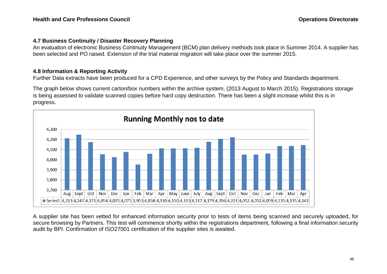# **4.7 Business Continuity / Disaster Recovery Planning**

An evaluation of electronic Business Continuity Management (BCM) plan delivery methods took place in Summer 2014. A supplier has been selected and PO raised. Extension of the trial material migration will take place over the summer 2015.

# **4.8 Information & Reporting Activity**

Further Data extracts have been produced for a CPD Experience, and other surveys by the Policy and Standards department.

The graph below shows current carton/box numbers within the archive system, (2013 August to March 2015). Registrations storage is being assessed to validate scanned copies before hard copy destruction. There has been a slight increase whilst this is in progress.



A supplier site has been vetted for enhanced information security prior to tests of items being scanned and securely uploaded, for secure browsing by Partners. This test will commence shortly within the registrations department, following a final information security audit by BPI. Confirmation of ISO27001 certification of the supplier sites is awaited.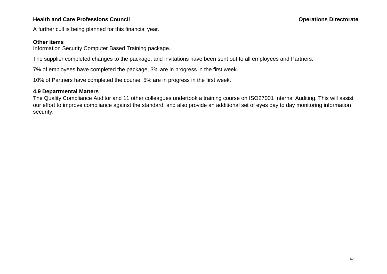# **Health and Care Professions Council Care and Care Professions Council Care and Care Professions Council Care and Care and Care and Care and Care and Care and Care and Care and Care and Care and Care and Care and Care and**

A further cull is being planned for this financial year.

### **Other items**

Information Security Computer Based Training package.

The supplier completed changes to the package, and invitations have been sent out to all employees and Partners.

7% of employees have completed the package, 3% are in progress in the first week.

10% of Partners have completed the course, 5% are in progress in the first week.

## **4.9 Departmental Matters**

The Quality Compliance Auditor and 11 other colleagues undertook a training course on ISO27001 Internal Auditing. This will assist our effort to improve compliance against the standard, and also provide an additional set of eyes day to day monitoring information security.